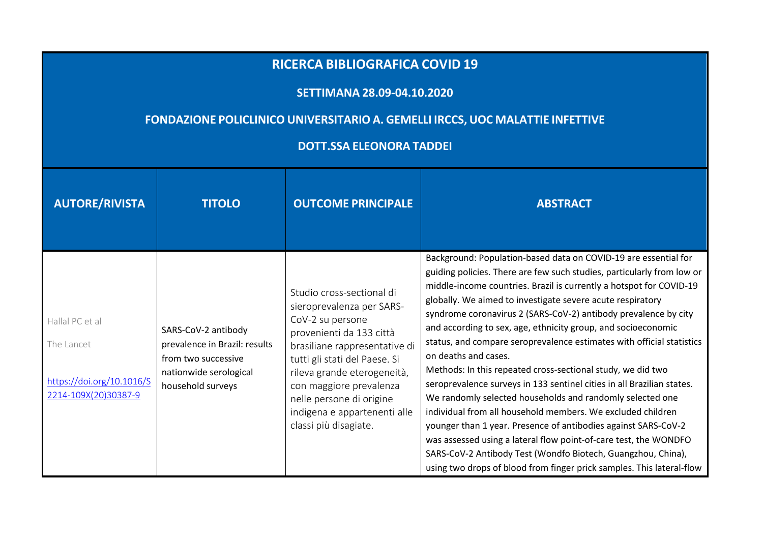## **RICERCA BIBLIOGRAFICA COVID <sup>19</sup>**

## **SETTIMANA 28.09-04.10.2020**

## **FONDAZIONE POLICLINICO UNIVERSITARIO A. GEMELLI IRCCS, UOC MALATTIE INFETTIVE**

## **DOTT.SSA ELEONORA TADDEI**

| <b>AUTORE/RIVISTA</b>                                                              | <b>TITOLO</b>                                                                                                              | <b>OUTCOME PRINCIPALE</b>                                                                                                                                                                                                                                                                                               | <b>ABSTRACT</b>                                                                                                                                                                                                                                                                                                                                                                                                                                                                                                                                                                                                                                                                                                                                                                                                                                                                                                                                                                                                                                                         |
|------------------------------------------------------------------------------------|----------------------------------------------------------------------------------------------------------------------------|-------------------------------------------------------------------------------------------------------------------------------------------------------------------------------------------------------------------------------------------------------------------------------------------------------------------------|-------------------------------------------------------------------------------------------------------------------------------------------------------------------------------------------------------------------------------------------------------------------------------------------------------------------------------------------------------------------------------------------------------------------------------------------------------------------------------------------------------------------------------------------------------------------------------------------------------------------------------------------------------------------------------------------------------------------------------------------------------------------------------------------------------------------------------------------------------------------------------------------------------------------------------------------------------------------------------------------------------------------------------------------------------------------------|
| Hallal PC et al<br>The Lancet<br>https://doi.org/10.1016/S<br>2214-109X(20)30387-9 | SARS-CoV-2 antibody<br>prevalence in Brazil: results<br>from two successive<br>nationwide serological<br>household surveys | Studio cross-sectional di<br>sieroprevalenza per SARS-<br>CoV-2 su persone<br>provenienti da 133 città<br>brasiliane rappresentative di<br>tutti gli stati del Paese. Si<br>rileva grande eterogeneità,<br>con maggiore prevalenza<br>nelle persone di origine<br>indigena e appartenenti alle<br>classi più disagiate. | Background: Population-based data on COVID-19 are essential for<br>guiding policies. There are few such studies, particularly from low or<br>middle-income countries. Brazil is currently a hotspot for COVID-19<br>globally. We aimed to investigate severe acute respiratory<br>syndrome coronavirus 2 (SARS-CoV-2) antibody prevalence by city<br>and according to sex, age, ethnicity group, and socioeconomic<br>status, and compare seroprevalence estimates with official statistics<br>on deaths and cases.<br>Methods: In this repeated cross-sectional study, we did two<br>seroprevalence surveys in 133 sentinel cities in all Brazilian states.<br>We randomly selected households and randomly selected one<br>individual from all household members. We excluded children<br>younger than 1 year. Presence of antibodies against SARS-CoV-2<br>was assessed using a lateral flow point-of-care test, the WONDFO<br>SARS-CoV-2 Antibody Test (Wondfo Biotech, Guangzhou, China),<br>using two drops of blood from finger prick samples. This lateral-flow |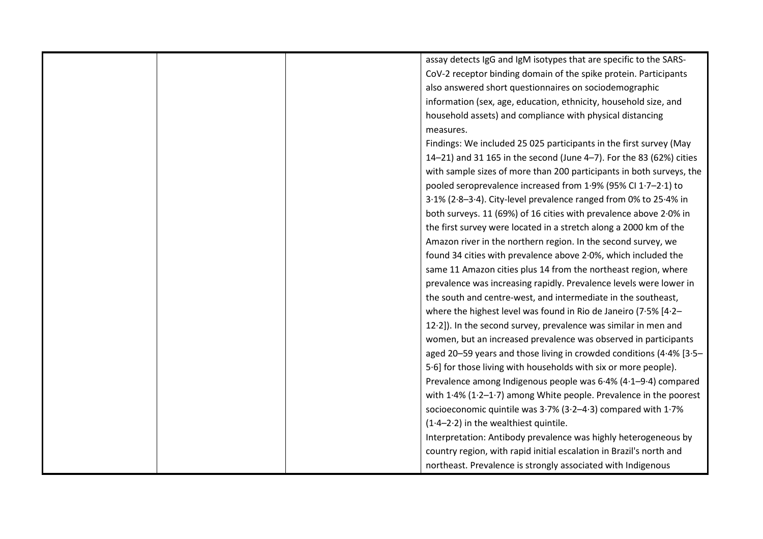|  | assay detects IgG and IgM isotypes that are specific to the SARS-        |
|--|--------------------------------------------------------------------------|
|  | CoV-2 receptor binding domain of the spike protein. Participants         |
|  | also answered short questionnaires on sociodemographic                   |
|  | information (sex, age, education, ethnicity, household size, and         |
|  | household assets) and compliance with physical distancing                |
|  | measures.                                                                |
|  | Findings: We included 25 025 participants in the first survey (May       |
|  | 14-21) and 31 165 in the second (June 4-7). For the 83 (62%) cities      |
|  | with sample sizes of more than 200 participants in both surveys, the     |
|  | pooled seroprevalence increased from 1.9% (95% CI 1.7-2.1) to            |
|  | 3.1% (2.8-3.4). City-level prevalence ranged from 0% to 25.4% in         |
|  | both surveys. 11 (69%) of 16 cities with prevalence above 2.0% in        |
|  | the first survey were located in a stretch along a 2000 km of the        |
|  | Amazon river in the northern region. In the second survey, we            |
|  | found 34 cities with prevalence above 2.0%, which included the           |
|  | same 11 Amazon cities plus 14 from the northeast region, where           |
|  | prevalence was increasing rapidly. Prevalence levels were lower in       |
|  | the south and centre-west, and intermediate in the southeast,            |
|  | where the highest level was found in Rio de Janeiro (7.5% [4.2-          |
|  | 12.2]). In the second survey, prevalence was similar in men and          |
|  | women, but an increased prevalence was observed in participants          |
|  | aged 20-59 years and those living in crowded conditions (4.4% [3.5-      |
|  | 5.6] for those living with households with six or more people).          |
|  | Prevalence among Indigenous people was 6.4% (4.1-9.4) compared           |
|  | with $1.4\%$ ( $1.2-1.7$ ) among White people. Prevalence in the poorest |
|  | socioeconomic quintile was 3.7% (3.2-4.3) compared with 1.7%             |
|  | $(1.4-2.2)$ in the wealthiest quintile.                                  |
|  | Interpretation: Antibody prevalence was highly heterogeneous by          |
|  | country region, with rapid initial escalation in Brazil's north and      |
|  | northeast. Prevalence is strongly associated with Indigenous             |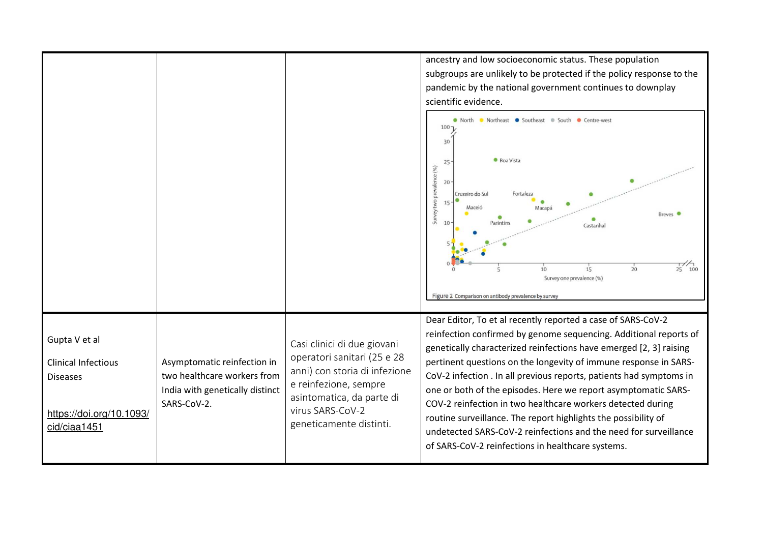ancestry and low socioeconomic status. These population subgroups are unlikely to be protected if the policy response to the pandemic by the national government continues to downplay scientific evidence. O North O Northeast O Southeast O South O Centre-west  $100 -$ 30 **Boa Vista**  $25$ nce (%) 20 Cruzeiro do Sul Fortaleza **S** 15 Macei Macana Breves <sup>O</sup> 3  $10$ Parintin Castanhal  $\frac{1}{25}$  100  $20$  $10$  $15$ Survey one prevalence (%) Figure 2 Comparison on antibody prevalence by survey Dear Editor, To et al recently reported a case of SARS-CoV-2 reinfection confirmed by genome sequencing. Additional reports of Gupta V et al Casi clinici di due giovani genetically characterized reinfections have emerged [2, 3] raising operatori sanitari (25 e 28 Asymptomatic reinfection in pertinent questions on the longevity of immune response in SARS-Clinical Infectious anni) con storia di infezione two healthcare workers from CoV-2 infection . In all previous reports, patients had symptoms in Diseases e reinfezione, sempre India with genetically distinct one or both of the episodes. Here we report asymptomatic SARSasintomatica, da parte di SARS-CoV-2. COV-2 reinfection in two healthcare workers detected during virus SARS-CoV-2 https://doi.org/10.1093/routine surveillance. The report highlights the possibility of geneticamente distinti. cid/ciaa1451undetected SARS-CoV-2 reinfections and the need for surveillance of SARS-CoV-2 reinfections in healthcare systems.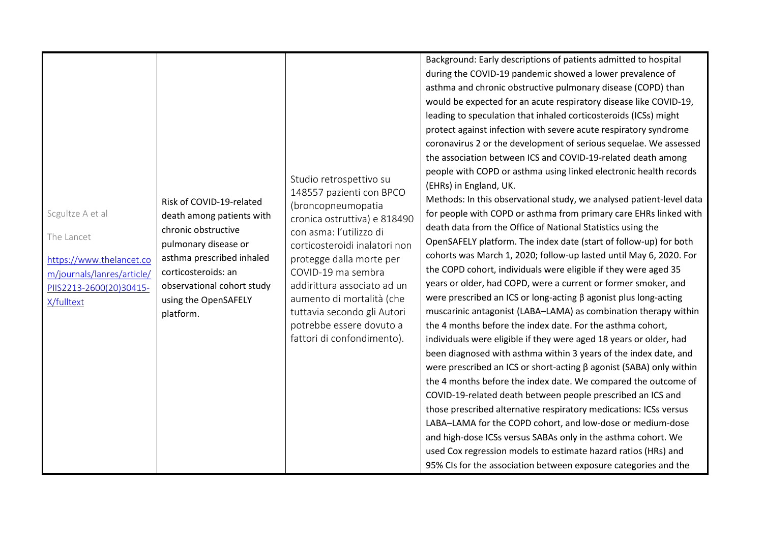| Scgultze A et al<br>The Lancet<br>https://www.thelancet.co<br>m/journals/lanres/article/<br>PIIS2213-2600(20)30415-<br>X/fulltext | Risk of COVID-19-related<br>death among patients with<br>chronic obstructive<br>pulmonary disease or<br>asthma prescribed inhaled<br>corticosteroids: an<br>observational cohort study<br>using the OpenSAFELY<br>platform. | Studio retrospettivo su<br>148557 pazienti con BPCO<br>(broncopneumopatia<br>cronica ostruttiva) e 818490<br>con asma: l'utilizzo di<br>corticosteroidi inalatori non<br>protegge dalla morte per<br>COVID-19 ma sembra<br>addirittura associato ad un<br>aumento di mortalità (che<br>tuttavia secondo gli Autori<br>potrebbe essere dovuto a<br>fattori di confondimento). | Background: Early descriptions of patients admitted to hospital<br>during the COVID-19 pandemic showed a lower prevalence of<br>asthma and chronic obstructive pulmonary disease (COPD) than<br>would be expected for an acute respiratory disease like COVID-19,<br>leading to speculation that inhaled corticosteroids (ICSs) might<br>protect against infection with severe acute respiratory syndrome<br>coronavirus 2 or the development of serious sequelae. We assessed<br>the association between ICS and COVID-19-related death among<br>people with COPD or asthma using linked electronic health records<br>(EHRs) in England, UK.<br>Methods: In this observational study, we analysed patient-level data<br>for people with COPD or asthma from primary care EHRs linked with<br>death data from the Office of National Statistics using the<br>OpenSAFELY platform. The index date (start of follow-up) for both<br>cohorts was March 1, 2020; follow-up lasted until May 6, 2020. For<br>the COPD cohort, individuals were eligible if they were aged 35<br>years or older, had COPD, were a current or former smoker, and<br>were prescribed an ICS or long-acting $\beta$ agonist plus long-acting<br>muscarinic antagonist (LABA-LAMA) as combination therapy within<br>the 4 months before the index date. For the asthma cohort,<br>individuals were eligible if they were aged 18 years or older, had |
|-----------------------------------------------------------------------------------------------------------------------------------|-----------------------------------------------------------------------------------------------------------------------------------------------------------------------------------------------------------------------------|------------------------------------------------------------------------------------------------------------------------------------------------------------------------------------------------------------------------------------------------------------------------------------------------------------------------------------------------------------------------------|----------------------------------------------------------------------------------------------------------------------------------------------------------------------------------------------------------------------------------------------------------------------------------------------------------------------------------------------------------------------------------------------------------------------------------------------------------------------------------------------------------------------------------------------------------------------------------------------------------------------------------------------------------------------------------------------------------------------------------------------------------------------------------------------------------------------------------------------------------------------------------------------------------------------------------------------------------------------------------------------------------------------------------------------------------------------------------------------------------------------------------------------------------------------------------------------------------------------------------------------------------------------------------------------------------------------------------------------------------------------------------------------------------------------------|
|                                                                                                                                   |                                                                                                                                                                                                                             |                                                                                                                                                                                                                                                                                                                                                                              | been diagnosed with asthma within 3 years of the index date, and<br>were prescribed an ICS or short-acting $\beta$ agonist (SABA) only within                                                                                                                                                                                                                                                                                                                                                                                                                                                                                                                                                                                                                                                                                                                                                                                                                                                                                                                                                                                                                                                                                                                                                                                                                                                                              |
|                                                                                                                                   |                                                                                                                                                                                                                             |                                                                                                                                                                                                                                                                                                                                                                              | the 4 months before the index date. We compared the outcome of<br>COVID-19-related death between people prescribed an ICS and<br>those prescribed alternative respiratory medications: ICSs versus<br>LABA-LAMA for the COPD cohort, and low-dose or medium-dose<br>and high-dose ICSs versus SABAs only in the asthma cohort. We<br>used Cox regression models to estimate hazard ratios (HRs) and<br>95% CIs for the association between exposure categories and the                                                                                                                                                                                                                                                                                                                                                                                                                                                                                                                                                                                                                                                                                                                                                                                                                                                                                                                                                     |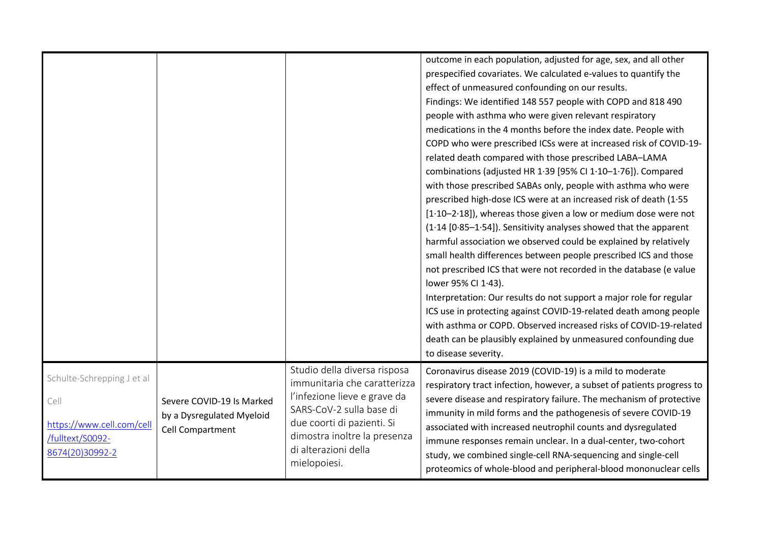|                                                                                                        |                                                                            |                                                                                                                                                                                                                                | outcome in each population, adjusted for age, sex, and all other<br>prespecified covariates. We calculated e-values to quantify the<br>effect of unmeasured confounding on our results.<br>Findings: We identified 148 557 people with COPD and 818 490<br>people with asthma who were given relevant respiratory<br>medications in the 4 months before the index date. People with<br>COPD who were prescribed ICSs were at increased risk of COVID-19-<br>related death compared with those prescribed LABA-LAMA<br>combinations (adjusted HR 1.39 [95% CI 1.10-1.76]). Compared<br>with those prescribed SABAs only, people with asthma who were<br>prescribed high-dose ICS were at an increased risk of death (1.55<br>$[1.10-2.18]$ , whereas those given a low or medium dose were not<br>(1.14 [0.85-1.54]). Sensitivity analyses showed that the apparent<br>harmful association we observed could be explained by relatively<br>small health differences between people prescribed ICS and those<br>not prescribed ICS that were not recorded in the database (e value<br>lower 95% CI 1.43).<br>Interpretation: Our results do not support a major role for regular<br>ICS use in protecting against COVID-19-related death among people<br>with asthma or COPD. Observed increased risks of COVID-19-related<br>death can be plausibly explained by unmeasured confounding due<br>to disease severity. |
|--------------------------------------------------------------------------------------------------------|----------------------------------------------------------------------------|--------------------------------------------------------------------------------------------------------------------------------------------------------------------------------------------------------------------------------|--------------------------------------------------------------------------------------------------------------------------------------------------------------------------------------------------------------------------------------------------------------------------------------------------------------------------------------------------------------------------------------------------------------------------------------------------------------------------------------------------------------------------------------------------------------------------------------------------------------------------------------------------------------------------------------------------------------------------------------------------------------------------------------------------------------------------------------------------------------------------------------------------------------------------------------------------------------------------------------------------------------------------------------------------------------------------------------------------------------------------------------------------------------------------------------------------------------------------------------------------------------------------------------------------------------------------------------------------------------------------------------------------------------------|
| Schulte-Schrepping J et al<br>Cell<br>https://www.cell.com/cell<br>/fulltext/S0092-<br>8674(20)30992-2 | Severe COVID-19 Is Marked<br>by a Dysregulated Myeloid<br>Cell Compartment | Studio della diversa risposa<br>immunitaria che caratterizza<br>l'infezione lieve e grave da<br>SARS-CoV-2 sulla base di<br>due coorti di pazienti. Si<br>dimostra inoltre la presenza<br>di alterazioni della<br>mielopoiesi. | Coronavirus disease 2019 (COVID-19) is a mild to moderate<br>respiratory tract infection, however, a subset of patients progress to<br>severe disease and respiratory failure. The mechanism of protective<br>immunity in mild forms and the pathogenesis of severe COVID-19<br>associated with increased neutrophil counts and dysregulated<br>immune responses remain unclear. In a dual-center, two-cohort<br>study, we combined single-cell RNA-sequencing and single-cell<br>proteomics of whole-blood and peripheral-blood mononuclear cells                                                                                                                                                                                                                                                                                                                                                                                                                                                                                                                                                                                                                                                                                                                                                                                                                                                                 |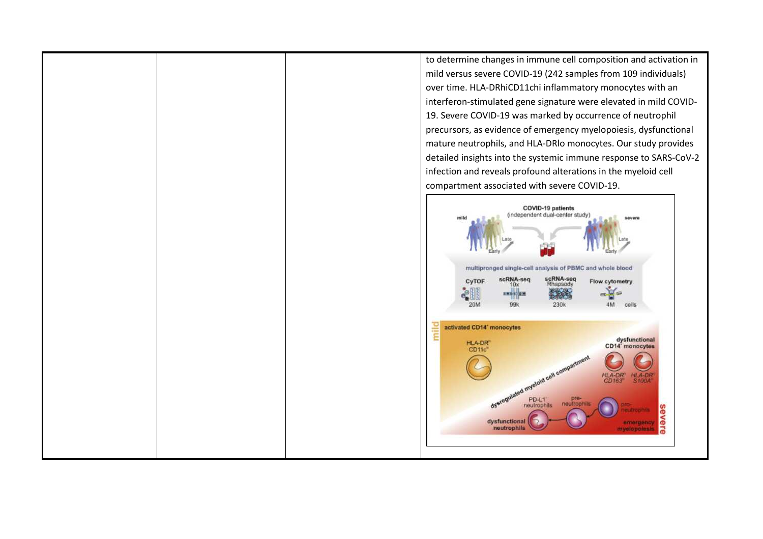to determine changes in immune cell composition and activation in mild versus severe COVID-19 (242 samples from 109 individuals) over time. HLA-DRhiCD11chi inflammatory monocytes with an interferon-stimulated gene signature were elevated in mild COVID-19. Severe COVID-19 was marked by occurrence of neutrophil precursors, as evidence of emergency myelopoiesis, dysfunctional mature neutrophils, and HLA-DRlo monocytes. Our study provides detailed insights into the systemic immune response to SARS-CoV-2 infection and reveals profound alterations in the myeloid cell compartment associated with severe COVID-19.

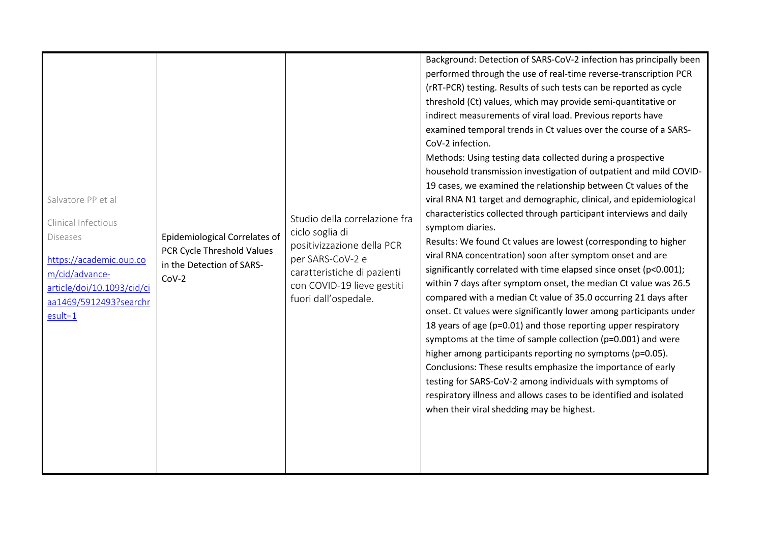| when their viral shedding may be highest. | Background: Detection of SARS-CoV-2 infection has principally been<br>performed through the use of real-time reverse-transcription PCR<br>(rRT-PCR) testing. Results of such tests can be reported as cycle<br>threshold (Ct) values, which may provide semi-quantitative or<br>indirect measurements of viral load. Previous reports have<br>examined temporal trends in Ct values over the course of a SARS-<br>CoV-2 infection.<br>Methods: Using testing data collected during a prospective<br>household transmission investigation of outpatient and mild COVID-<br>19 cases, we examined the relationship between Ct values of the<br>viral RNA N1 target and demographic, clinical, and epidemiological<br>Salvatore PP et al<br>characteristics collected through participant interviews and daily<br>Studio della correlazione fra<br>Clinical Infectious<br>symptom diaries.<br>ciclo soglia di<br><b>Epidemiological Correlates of</b><br><b>Diseases</b><br>Results: We found Ct values are lowest (corresponding to higher<br>positivizzazione della PCR<br>PCR Cycle Threshold Values<br>viral RNA concentration) soon after symptom onset and are<br>per SARS-CoV-2 e<br>https://academic.oup.co<br>in the Detection of SARS-<br>significantly correlated with time elapsed since onset (p<0.001);<br>caratteristiche di pazienti<br>m/cid/advance-<br>$COV-2$<br>within 7 days after symptom onset, the median Ct value was 26.5<br>con COVID-19 lieve gestiti<br>article/doi/10.1093/cid/ci<br>compared with a median Ct value of 35.0 occurring 21 days after<br>fuori dall'ospedale.<br>aa1469/5912493?searchr<br>onset. Ct values were significantly lower among participants under<br>$esult=1$<br>18 years of age (p=0.01) and those reporting upper respiratory<br>symptoms at the time of sample collection (p=0.001) and were<br>higher among participants reporting no symptoms (p=0.05).<br>Conclusions: These results emphasize the importance of early<br>testing for SARS-CoV-2 among individuals with symptoms of<br>respiratory illness and allows cases to be identified and isolated |  |
|-------------------------------------------|-------------------------------------------------------------------------------------------------------------------------------------------------------------------------------------------------------------------------------------------------------------------------------------------------------------------------------------------------------------------------------------------------------------------------------------------------------------------------------------------------------------------------------------------------------------------------------------------------------------------------------------------------------------------------------------------------------------------------------------------------------------------------------------------------------------------------------------------------------------------------------------------------------------------------------------------------------------------------------------------------------------------------------------------------------------------------------------------------------------------------------------------------------------------------------------------------------------------------------------------------------------------------------------------------------------------------------------------------------------------------------------------------------------------------------------------------------------------------------------------------------------------------------------------------------------------------------------------------------------------------------------------------------------------------------------------------------------------------------------------------------------------------------------------------------------------------------------------------------------------------------------------------------------------------------------------------------------------------------------------------------------------------------------------------------------------------------------------------------------------------|--|
|-------------------------------------------|-------------------------------------------------------------------------------------------------------------------------------------------------------------------------------------------------------------------------------------------------------------------------------------------------------------------------------------------------------------------------------------------------------------------------------------------------------------------------------------------------------------------------------------------------------------------------------------------------------------------------------------------------------------------------------------------------------------------------------------------------------------------------------------------------------------------------------------------------------------------------------------------------------------------------------------------------------------------------------------------------------------------------------------------------------------------------------------------------------------------------------------------------------------------------------------------------------------------------------------------------------------------------------------------------------------------------------------------------------------------------------------------------------------------------------------------------------------------------------------------------------------------------------------------------------------------------------------------------------------------------------------------------------------------------------------------------------------------------------------------------------------------------------------------------------------------------------------------------------------------------------------------------------------------------------------------------------------------------------------------------------------------------------------------------------------------------------------------------------------------------|--|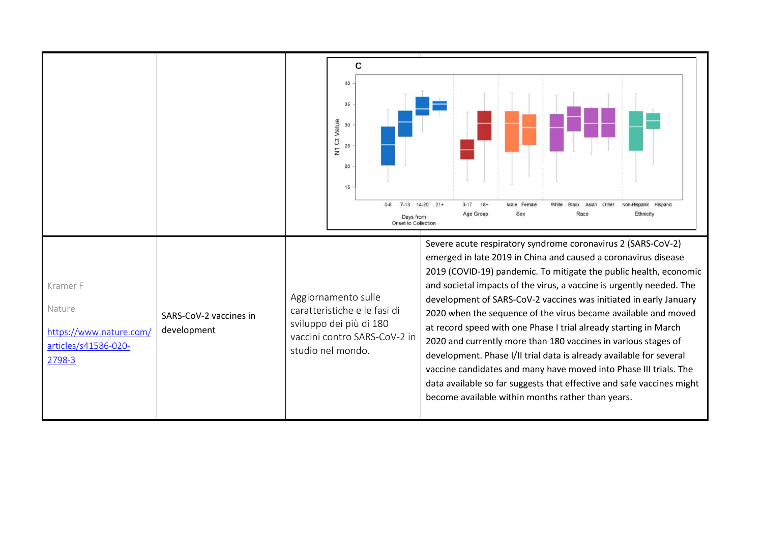|                                                                                 |                                       | c<br>40<br>35<br>N1 Ct Value<br>30<br>25<br>20<br>15<br>$7 - 13$<br>$14-20$ $21+$<br>$0 - 17$<br>$18+$<br>Male Female<br>Von-Hispanic Hispanic<br>Age Group<br>Sex<br>Race<br>Ethnicity<br>Days from<br>Onset to Collection                                                                                                                                                                                                                                                                                                                                                                                                                                                                                                                                                                                                                                                                                                                                               |
|---------------------------------------------------------------------------------|---------------------------------------|---------------------------------------------------------------------------------------------------------------------------------------------------------------------------------------------------------------------------------------------------------------------------------------------------------------------------------------------------------------------------------------------------------------------------------------------------------------------------------------------------------------------------------------------------------------------------------------------------------------------------------------------------------------------------------------------------------------------------------------------------------------------------------------------------------------------------------------------------------------------------------------------------------------------------------------------------------------------------|
| Kramer F<br>Nature<br>https://www.nature.com/<br>articles/s41586-020-<br>2798-3 | SARS-CoV-2 vaccines in<br>development | Severe acute respiratory syndrome coronavirus 2 (SARS-CoV-2)<br>emerged in late 2019 in China and caused a coronavirus disease<br>2019 (COVID-19) pandemic. To mitigate the public health, economic<br>and societal impacts of the virus, a vaccine is urgently needed. The<br>Aggiornamento sulle<br>development of SARS-CoV-2 vaccines was initiated in early January<br>caratteristiche e le fasi di<br>2020 when the sequence of the virus became available and moved<br>sviluppo dei più di 180<br>at record speed with one Phase I trial already starting in March<br>vaccini contro SARS-CoV-2 in<br>2020 and currently more than 180 vaccines in various stages of<br>studio nel mondo.<br>development. Phase I/II trial data is already available for several<br>vaccine candidates and many have moved into Phase III trials. The<br>data available so far suggests that effective and safe vaccines might<br>become available within months rather than years. |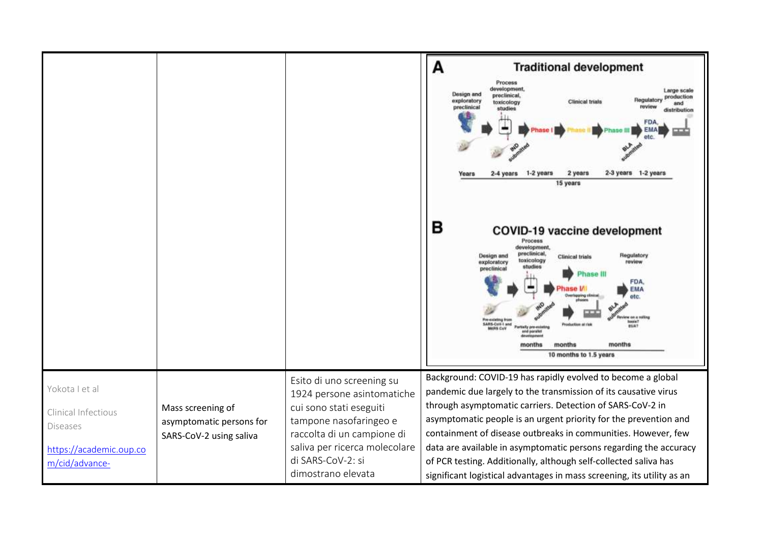|                                                                                                       |                                                                          |                                                                                                                                                                                                                        | А<br><b>Traditional development</b><br>Process<br>development,<br>Large scale<br>Design and<br>proclinical,<br>production<br>Regulatory<br>exploratory<br><b>Clinical trials</b><br>toxicology<br>and<br>preclinical<br>review<br>studies<br>distribution<br>1-2 years<br>2 years<br>2-3 years 1-2 years<br>2-4 years<br>Years<br>15 years<br>в<br>COVID-19 vaccine development<br>Process<br>development,<br>preclinical.<br>Regulatory<br><b>Design and</b><br><b>Clinical trials</b><br>toxicology<br>review<br>exploratory<br>studies<br>preclinical<br>hase III<br>FDA.<br>EMA<br>quing clinical<br>otc.<br>w oa a rollin<br><b>Pre-existing from</b><br>basis?<br>SARS-CoV-1 and<br><b>RUAT</b><br>stially pre-existing<br><b>MARS CAV</b><br>totheraid trival<br><b>Baruka Musa arusun</b><br>months<br>months<br>months<br>10 months to 1.5 years |
|-------------------------------------------------------------------------------------------------------|--------------------------------------------------------------------------|------------------------------------------------------------------------------------------------------------------------------------------------------------------------------------------------------------------------|-----------------------------------------------------------------------------------------------------------------------------------------------------------------------------------------------------------------------------------------------------------------------------------------------------------------------------------------------------------------------------------------------------------------------------------------------------------------------------------------------------------------------------------------------------------------------------------------------------------------------------------------------------------------------------------------------------------------------------------------------------------------------------------------------------------------------------------------------------------|
| Yokota I et al<br>Clinical Infectious<br><b>Diseases</b><br>https://academic.oup.co<br>m/cid/advance- | Mass screening of<br>asymptomatic persons for<br>SARS-CoV-2 using saliva | Esito di uno screening su<br>1924 persone asintomatiche<br>cui sono stati eseguiti<br>tampone nasofaringeo e<br>raccolta di un campione di<br>saliva per ricerca molecolare<br>di SARS-CoV-2: si<br>dimostrano elevata | Background: COVID-19 has rapidly evolved to become a global<br>pandemic due largely to the transmission of its causative virus<br>through asymptomatic carriers. Detection of SARS-CoV-2 in<br>asymptomatic people is an urgent priority for the prevention and<br>containment of disease outbreaks in communities. However, few<br>data are available in asymptomatic persons regarding the accuracy<br>of PCR testing. Additionally, although self-collected saliva has<br>significant logistical advantages in mass screening, its utility as an                                                                                                                                                                                                                                                                                                       |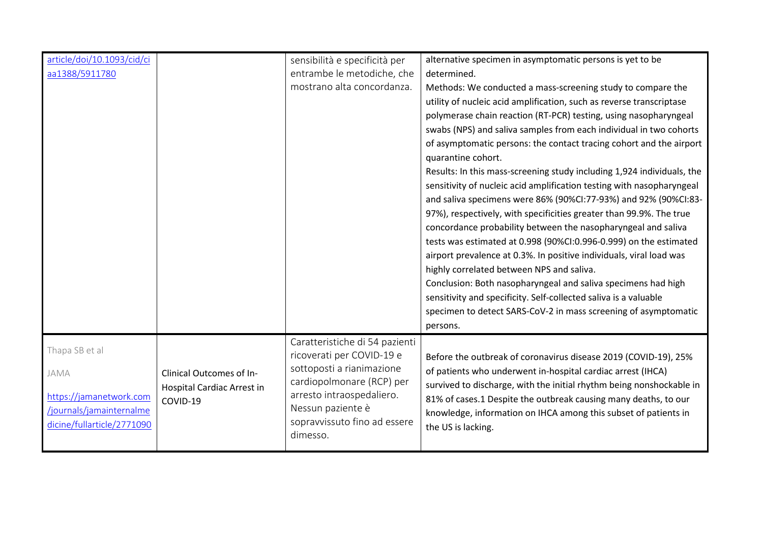| article/doi/10.1093/cid/ci |                            | sensibilità e specificità per  | alternative specimen in asymptomatic persons is yet to be              |
|----------------------------|----------------------------|--------------------------------|------------------------------------------------------------------------|
| aa1388/5911780             |                            | entrambe le metodiche, che     | determined.                                                            |
|                            |                            | mostrano alta concordanza.     | Methods: We conducted a mass-screening study to compare the            |
|                            |                            |                                | utility of nucleic acid amplification, such as reverse transcriptase   |
|                            |                            |                                | polymerase chain reaction (RT-PCR) testing, using nasopharyngeal       |
|                            |                            |                                | swabs (NPS) and saliva samples from each individual in two cohorts     |
|                            |                            |                                | of asymptomatic persons: the contact tracing cohort and the airport    |
|                            |                            |                                | quarantine cohort.                                                     |
|                            |                            |                                | Results: In this mass-screening study including 1,924 individuals, the |
|                            |                            |                                | sensitivity of nucleic acid amplification testing with nasopharyngeal  |
|                            |                            |                                | and saliva specimens were 86% (90%CI:77-93%) and 92% (90%CI:83-        |
|                            |                            |                                | 97%), respectively, with specificities greater than 99.9%. The true    |
|                            |                            |                                | concordance probability between the nasopharyngeal and saliva          |
|                            |                            |                                | tests was estimated at 0.998 (90%CI:0.996-0.999) on the estimated      |
|                            |                            |                                | airport prevalence at 0.3%. In positive individuals, viral load was    |
|                            |                            |                                | highly correlated between NPS and saliva.                              |
|                            |                            |                                | Conclusion: Both nasopharyngeal and saliva specimens had high          |
|                            |                            |                                | sensitivity and specificity. Self-collected saliva is a valuable       |
|                            |                            |                                | specimen to detect SARS-CoV-2 in mass screening of asymptomatic        |
|                            |                            |                                | persons.                                                               |
|                            |                            | Caratteristiche di 54 pazienti |                                                                        |
| Thapa SB et al             |                            | ricoverati per COVID-19 e      | Before the outbreak of coronavirus disease 2019 (COVID-19), 25%        |
| JAMA                       | Clinical Outcomes of In-   | sottoposti a rianimazione      | of patients who underwent in-hospital cardiac arrest (IHCA)            |
|                            | Hospital Cardiac Arrest in | cardiopolmonare (RCP) per      | survived to discharge, with the initial rhythm being nonshockable in   |
| https://jamanetwork.com    | COVID-19                   | arresto intraospedaliero.      | 81% of cases.1 Despite the outbreak causing many deaths, to our        |
| /journals/jamainternalme   |                            | Nessun paziente è              | knowledge, information on IHCA among this subset of patients in        |
| dicine/fullarticle/2771090 |                            | sopravvissuto fino ad essere   | the US is lacking.                                                     |
|                            |                            | dimesso.                       |                                                                        |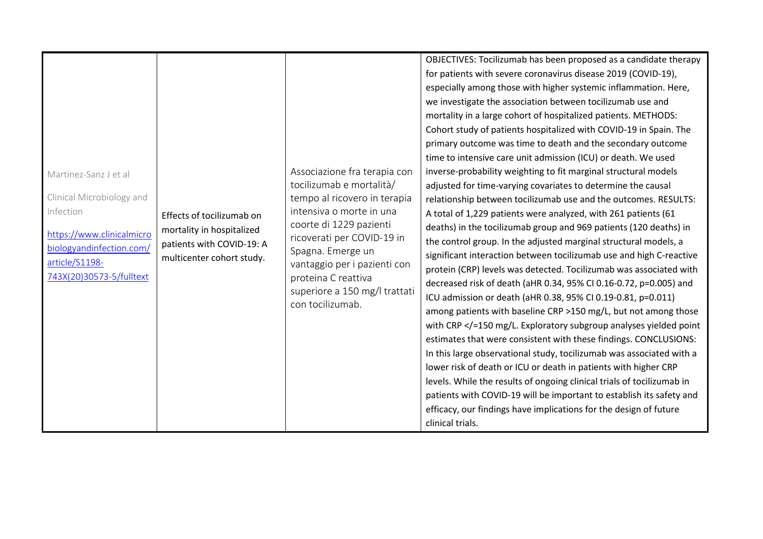| Martinez-Sanz J et al<br>Clinical Microbiology and<br>Infection<br>https://www.clinicalmicro<br>biologyandinfection.com/<br>article/S1198-<br>743X(20)30573-5/fulltext | Effects of tocilizumab on<br>mortality in hospitalized<br>patients with COVID-19: A<br>multicenter cohort study. | Associazione fra terapia con<br>tocilizumab e mortalità/<br>tempo al ricovero in terapia<br>intensiva o morte in una<br>coorte di 1229 pazienti<br>ricoverati per COVID-19 in<br>Spagna. Emerge un<br>vantaggio per i pazienti con<br>proteina C reattiva<br>superiore a 150 mg/l trattati | OBJECTIVES: Tocilizumab has been proposed as a candidate therapy<br>for patients with severe coronavirus disease 2019 (COVID-19),<br>especially among those with higher systemic inflammation. Here,<br>we investigate the association between tocilizumab use and<br>mortality in a large cohort of hospitalized patients. METHODS:<br>Cohort study of patients hospitalized with COVID-19 in Spain. The<br>primary outcome was time to death and the secondary outcome<br>time to intensive care unit admission (ICU) or death. We used<br>inverse-probability weighting to fit marginal structural models<br>adjusted for time-varying covariates to determine the causal<br>relationship between tocilizumab use and the outcomes. RESULTS:<br>A total of 1,229 patients were analyzed, with 261 patients (61<br>deaths) in the tocilizumab group and 969 patients (120 deaths) in<br>the control group. In the adjusted marginal structural models, a<br>significant interaction between tocilizumab use and high C-reactive<br>protein (CRP) levels was detected. Tocilizumab was associated with<br>decreased risk of death (aHR 0.34, 95% CI 0.16-0.72, p=0.005) and<br>ICU admission or death (aHR 0.38, 95% CI 0.19-0.81, p=0.011) |
|------------------------------------------------------------------------------------------------------------------------------------------------------------------------|------------------------------------------------------------------------------------------------------------------|--------------------------------------------------------------------------------------------------------------------------------------------------------------------------------------------------------------------------------------------------------------------------------------------|----------------------------------------------------------------------------------------------------------------------------------------------------------------------------------------------------------------------------------------------------------------------------------------------------------------------------------------------------------------------------------------------------------------------------------------------------------------------------------------------------------------------------------------------------------------------------------------------------------------------------------------------------------------------------------------------------------------------------------------------------------------------------------------------------------------------------------------------------------------------------------------------------------------------------------------------------------------------------------------------------------------------------------------------------------------------------------------------------------------------------------------------------------------------------------------------------------------------------------------------|
|                                                                                                                                                                        |                                                                                                                  | con tocilizumab.                                                                                                                                                                                                                                                                           | among patients with baseline CRP >150 mg/L, but not among those                                                                                                                                                                                                                                                                                                                                                                                                                                                                                                                                                                                                                                                                                                                                                                                                                                                                                                                                                                                                                                                                                                                                                                              |
|                                                                                                                                                                        |                                                                                                                  |                                                                                                                                                                                                                                                                                            | with CRP =150 mg/L. Exploratory subgroup analyses yielded point<br estimates that were consistent with these findings. CONCLUSIONS:<br>In this large observational study, tocilizumab was associated with a<br>lower risk of death or ICU or death in patients with higher CRP<br>levels. While the results of ongoing clinical trials of tocilizumab in<br>patients with COVID-19 will be important to establish its safety and<br>efficacy, our findings have implications for the design of future<br>clinical trials.                                                                                                                                                                                                                                                                                                                                                                                                                                                                                                                                                                                                                                                                                                                    |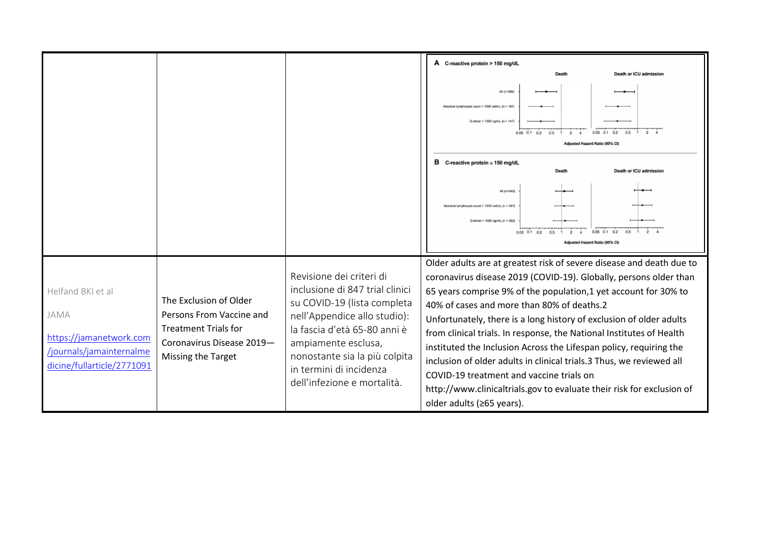|                                                                                                                |                                                                                                                                      |                                                                                                                                                                                                                                                                              | A C-reactive protein > 150 mg/dL<br><b>Death or ICU admission</b><br>Death<br>All (n=286)<br>Absolute lymphocyte count < 1000 cell/uL (n = 187<br>D-dimer > 1000 ng/mL (n = 147)<br>$0.05$ $0.1$<br>02<br>05<br>$\overline{2}$<br>Adjusted Hazard Ratio (95% CI)<br>в<br>C-reactive protein $\leq 150$ mg/dL<br><b>Death or ICU admission</b><br>Death<br>All (n=943)<br>Absolute lymphocyte count < 1000 cell/uL (n = 397)<br>D-dimer > 1000 ng/mL (n = 282)<br>$0.05$ 0.1 0.2<br>$0.5 \quad 1 \quad 2$<br>$0.05$ 0.1 0.2<br>0.5<br>$\overline{2}$<br>$\mathbf{A}$<br>djusted Hazard Ratio (95% CI)                                                                                                      |
|----------------------------------------------------------------------------------------------------------------|--------------------------------------------------------------------------------------------------------------------------------------|------------------------------------------------------------------------------------------------------------------------------------------------------------------------------------------------------------------------------------------------------------------------------|-----------------------------------------------------------------------------------------------------------------------------------------------------------------------------------------------------------------------------------------------------------------------------------------------------------------------------------------------------------------------------------------------------------------------------------------------------------------------------------------------------------------------------------------------------------------------------------------------------------------------------------------------------------------------------------------------------------|
| Helfand BKI et al<br>JAMA<br>https://jamanetwork.com<br>/journals/jamainternalme<br>dicine/fullarticle/2771091 | The Exclusion of Older<br>Persons From Vaccine and<br><b>Treatment Trials for</b><br>Coronavirus Disease 2019-<br>Missing the Target | Revisione dei criteri di<br>inclusione di 847 trial clinici<br>su COVID-19 (lista completa<br>nell'Appendice allo studio):<br>la fascia d'età 65-80 anni è<br>ampiamente esclusa,<br>nonostante sia la più colpita<br>in termini di incidenza<br>dell'infezione e mortalità. | Older adults are at greatest risk of severe disease and death due to<br>coronavirus disease 2019 (COVID-19). Globally, persons older than<br>65 years comprise 9% of the population,1 yet account for 30% to<br>40% of cases and more than 80% of deaths.2<br>Unfortunately, there is a long history of exclusion of older adults<br>from clinical trials. In response, the National Institutes of Health<br>instituted the Inclusion Across the Lifespan policy, requiring the<br>inclusion of older adults in clinical trials.3 Thus, we reviewed all<br>COVID-19 treatment and vaccine trials on<br>http://www.clinicaltrials.gov to evaluate their risk for exclusion of<br>older adults (≥65 years). |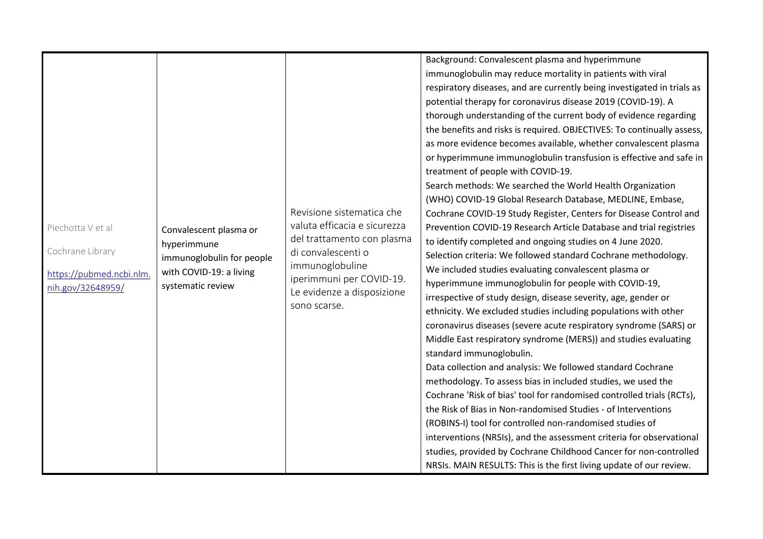| Piechotta V et al<br>Convalescent plasma or<br>hyperimmune<br>Cochrane Library<br>immunoglobulin for people<br>with COVID-19: a living<br>https://pubmed.ncbi.nlm.<br>systematic review<br>nih.gov/32648959/ | Revisione sistematica che<br>valuta efficacia e sicurezza<br>del trattamento con plasma<br>di convalescenti o<br>immunoglobuline<br>iperimmuni per COVID-19.<br>Le evidenze a disposizione<br>sono scarse. | potential therapy for coronavirus disease 2019 (COVID-19). A<br>thorough understanding of the current body of evidence regarding<br>the benefits and risks is required. OBJECTIVES: To continually assess,<br>as more evidence becomes available, whether convalescent plasma<br>or hyperimmune immunoglobulin transfusion is effective and safe in<br>treatment of people with COVID-19.<br>Search methods: We searched the World Health Organization<br>(WHO) COVID-19 Global Research Database, MEDLINE, Embase,<br>Cochrane COVID-19 Study Register, Centers for Disease Control and<br>Prevention COVID-19 Research Article Database and trial registries<br>to identify completed and ongoing studies on 4 June 2020.<br>Selection criteria: We followed standard Cochrane methodology.<br>We included studies evaluating convalescent plasma or<br>hyperimmune immunoglobulin for people with COVID-19,<br>irrespective of study design, disease severity, age, gender or<br>ethnicity. We excluded studies including populations with other<br>coronavirus diseases (severe acute respiratory syndrome (SARS) or<br>Middle East respiratory syndrome (MERS)) and studies evaluating<br>standard immunoglobulin.<br>Data collection and analysis: We followed standard Cochrane<br>methodology. To assess bias in included studies, we used the<br>Cochrane 'Risk of bias' tool for randomised controlled trials (RCTs),<br>the Risk of Bias in Non-randomised Studies - of Interventions<br>(ROBINS-I) tool for controlled non-randomised studies of<br>interventions (NRSIs), and the assessment criteria for observational<br>studies, provided by Cochrane Childhood Cancer for non-controlled |
|--------------------------------------------------------------------------------------------------------------------------------------------------------------------------------------------------------------|------------------------------------------------------------------------------------------------------------------------------------------------------------------------------------------------------------|-----------------------------------------------------------------------------------------------------------------------------------------------------------------------------------------------------------------------------------------------------------------------------------------------------------------------------------------------------------------------------------------------------------------------------------------------------------------------------------------------------------------------------------------------------------------------------------------------------------------------------------------------------------------------------------------------------------------------------------------------------------------------------------------------------------------------------------------------------------------------------------------------------------------------------------------------------------------------------------------------------------------------------------------------------------------------------------------------------------------------------------------------------------------------------------------------------------------------------------------------------------------------------------------------------------------------------------------------------------------------------------------------------------------------------------------------------------------------------------------------------------------------------------------------------------------------------------------------------------------------------------------------------------------------------------------------------------|
|                                                                                                                                                                                                              |                                                                                                                                                                                                            | NRSIs. MAIN RESULTS: This is the first living update of our review.                                                                                                                                                                                                                                                                                                                                                                                                                                                                                                                                                                                                                                                                                                                                                                                                                                                                                                                                                                                                                                                                                                                                                                                                                                                                                                                                                                                                                                                                                                                                                                                                                                       |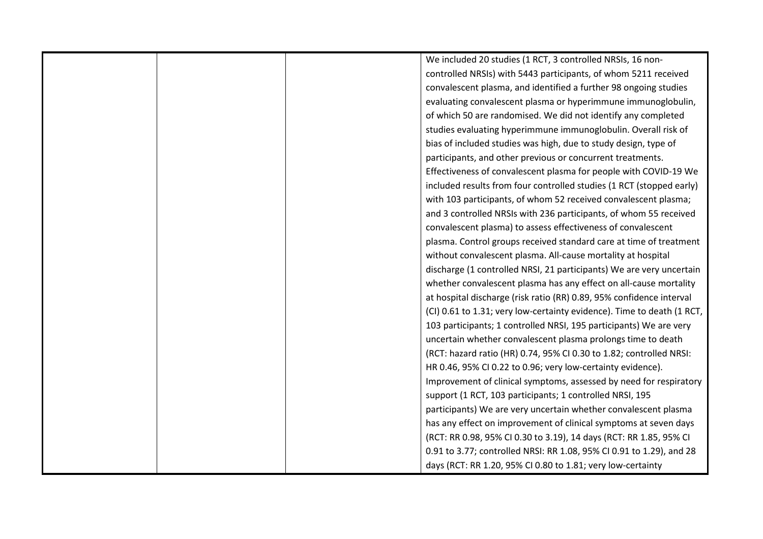|  | We included 20 studies (1 RCT, 3 controlled NRSIs, 16 non-             |
|--|------------------------------------------------------------------------|
|  | controlled NRSIs) with 5443 participants, of whom 5211 received        |
|  | convalescent plasma, and identified a further 98 ongoing studies       |
|  | evaluating convalescent plasma or hyperimmune immunoglobulin,          |
|  | of which 50 are randomised. We did not identify any completed          |
|  | studies evaluating hyperimmune immunoglobulin. Overall risk of         |
|  | bias of included studies was high, due to study design, type of        |
|  | participants, and other previous or concurrent treatments.             |
|  | Effectiveness of convalescent plasma for people with COVID-19 We       |
|  | included results from four controlled studies (1 RCT (stopped early)   |
|  | with 103 participants, of whom 52 received convalescent plasma;        |
|  | and 3 controlled NRSIs with 236 participants, of whom 55 received      |
|  | convalescent plasma) to assess effectiveness of convalescent           |
|  | plasma. Control groups received standard care at time of treatment     |
|  | without convalescent plasma. All-cause mortality at hospital           |
|  | discharge (1 controlled NRSI, 21 participants) We are very uncertain   |
|  | whether convalescent plasma has any effect on all-cause mortality      |
|  | at hospital discharge (risk ratio (RR) 0.89, 95% confidence interval   |
|  | (CI) 0.61 to 1.31; very low-certainty evidence). Time to death (1 RCT, |
|  | 103 participants; 1 controlled NRSI, 195 participants) We are very     |
|  | uncertain whether convalescent plasma prolongs time to death           |
|  | (RCT: hazard ratio (HR) 0.74, 95% CI 0.30 to 1.82; controlled NRSI:    |
|  | HR 0.46, 95% CI 0.22 to 0.96; very low-certainty evidence).            |
|  | Improvement of clinical symptoms, assessed by need for respiratory     |
|  | support (1 RCT, 103 participants; 1 controlled NRSI, 195               |
|  | participants) We are very uncertain whether convalescent plasma        |
|  | has any effect on improvement of clinical symptoms at seven days       |
|  | (RCT: RR 0.98, 95% CI 0.30 to 3.19), 14 days (RCT: RR 1.85, 95% CI     |
|  | 0.91 to 3.77; controlled NRSI: RR 1.08, 95% CI 0.91 to 1.29), and 28   |
|  | days (RCT: RR 1.20, 95% CI 0.80 to 1.81; very low-certainty            |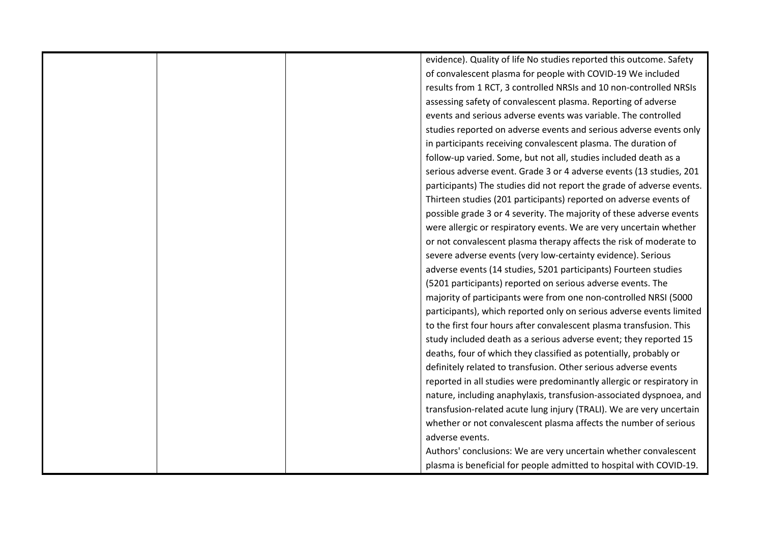|  | evidence). Quality of life No studies reported this outcome. Safety   |
|--|-----------------------------------------------------------------------|
|  | of convalescent plasma for people with COVID-19 We included           |
|  | results from 1 RCT, 3 controlled NRSIs and 10 non-controlled NRSIs    |
|  | assessing safety of convalescent plasma. Reporting of adverse         |
|  | events and serious adverse events was variable. The controlled        |
|  | studies reported on adverse events and serious adverse events only    |
|  | in participants receiving convalescent plasma. The duration of        |
|  | follow-up varied. Some, but not all, studies included death as a      |
|  | serious adverse event. Grade 3 or 4 adverse events (13 studies, 201   |
|  | participants) The studies did not report the grade of adverse events. |
|  | Thirteen studies (201 participants) reported on adverse events of     |
|  | possible grade 3 or 4 severity. The majority of these adverse events  |
|  | were allergic or respiratory events. We are very uncertain whether    |
|  | or not convalescent plasma therapy affects the risk of moderate to    |
|  | severe adverse events (very low-certainty evidence). Serious          |
|  | adverse events (14 studies, 5201 participants) Fourteen studies       |
|  | (5201 participants) reported on serious adverse events. The           |
|  | majority of participants were from one non-controlled NRSI (5000      |
|  | participants), which reported only on serious adverse events limited  |
|  | to the first four hours after convalescent plasma transfusion. This   |
|  | study included death as a serious adverse event; they reported 15     |
|  | deaths, four of which they classified as potentially, probably or     |
|  | definitely related to transfusion. Other serious adverse events       |
|  | reported in all studies were predominantly allergic or respiratory in |
|  | nature, including anaphylaxis, transfusion-associated dyspnoea, and   |
|  | transfusion-related acute lung injury (TRALI). We are very uncertain  |
|  | whether or not convalescent plasma affects the number of serious      |
|  | adverse events.                                                       |
|  | Authors' conclusions: We are very uncertain whether convalescent      |
|  | plasma is beneficial for people admitted to hospital with COVID-19.   |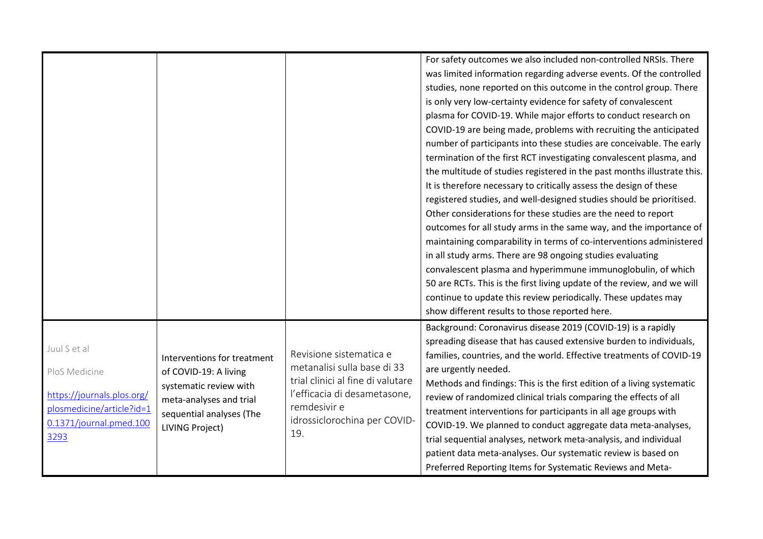|                                                                                                                             |                                                                                                                                                                 |                                                                                                                                                                                    | For safety outcomes we also included non-controlled NRSIs. There<br>was limited information regarding adverse events. Of the controlled<br>studies, none reported on this outcome in the control group. There<br>is only very low-certainty evidence for safety of convalescent<br>plasma for COVID-19. While major efforts to conduct research on<br>COVID-19 are being made, problems with recruiting the anticipated<br>number of participants into these studies are conceivable. The early<br>termination of the first RCT investigating convalescent plasma, and<br>the multitude of studies registered in the past months illustrate this.<br>It is therefore necessary to critically assess the design of these<br>registered studies, and well-designed studies should be prioritised.<br>Other considerations for these studies are the need to report<br>outcomes for all study arms in the same way, and the importance of<br>maintaining comparability in terms of co-interventions administered<br>in all study arms. There are 98 ongoing studies evaluating<br>convalescent plasma and hyperimmune immunoglobulin, of which<br>50 are RCTs. This is the first living update of the review, and we will<br>continue to update this review periodically. These updates may<br>show different results to those reported here. |
|-----------------------------------------------------------------------------------------------------------------------------|-----------------------------------------------------------------------------------------------------------------------------------------------------------------|------------------------------------------------------------------------------------------------------------------------------------------------------------------------------------|--------------------------------------------------------------------------------------------------------------------------------------------------------------------------------------------------------------------------------------------------------------------------------------------------------------------------------------------------------------------------------------------------------------------------------------------------------------------------------------------------------------------------------------------------------------------------------------------------------------------------------------------------------------------------------------------------------------------------------------------------------------------------------------------------------------------------------------------------------------------------------------------------------------------------------------------------------------------------------------------------------------------------------------------------------------------------------------------------------------------------------------------------------------------------------------------------------------------------------------------------------------------------------------------------------------------------------------------|
| Juul S et al<br>PloS Medicine<br>https://journals.plos.org/<br>plosmedicine/article?id=1<br>0.1371/journal.pmed.100<br>3293 | Interventions for treatment<br>of COVID-19: A living<br>systematic review with<br>meta-analyses and trial<br>sequential analyses (The<br><b>LIVING Project)</b> | Revisione sistematica e<br>metanalisi sulla base di 33<br>trial clinici al fine di valutare<br>l'efficacia di desametasone,<br>remdesivir e<br>idrossiclorochina per COVID-<br>19. | Background: Coronavirus disease 2019 (COVID-19) is a rapidly<br>spreading disease that has caused extensive burden to individuals,<br>families, countries, and the world. Effective treatments of COVID-19<br>are urgently needed.<br>Methods and findings: This is the first edition of a living systematic<br>review of randomized clinical trials comparing the effects of all<br>treatment interventions for participants in all age groups with<br>COVID-19. We planned to conduct aggregate data meta-analyses,<br>trial sequential analyses, network meta-analysis, and individual<br>patient data meta-analyses. Our systematic review is based on<br>Preferred Reporting Items for Systematic Reviews and Meta-                                                                                                                                                                                                                                                                                                                                                                                                                                                                                                                                                                                                                   |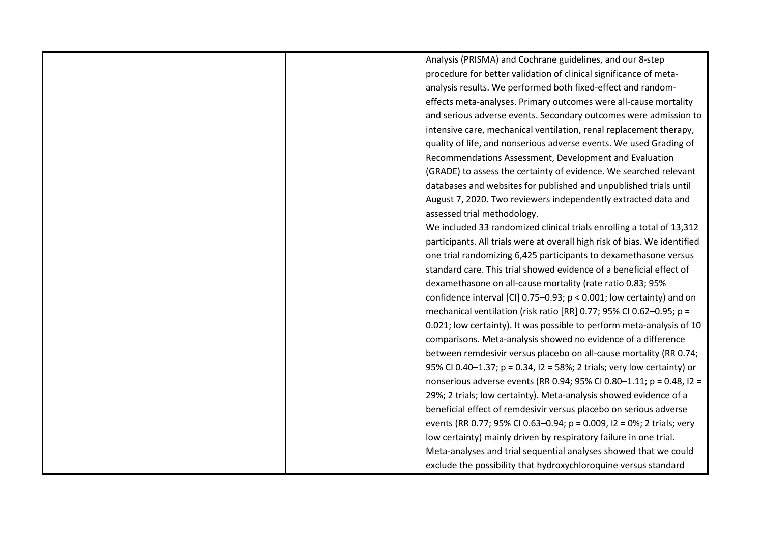|  | Analysis (PRISMA) and Cochrane guidelines, and our 8-step                  |
|--|----------------------------------------------------------------------------|
|  | procedure for better validation of clinical significance of meta-          |
|  | analysis results. We performed both fixed-effect and random-               |
|  | effects meta-analyses. Primary outcomes were all-cause mortality           |
|  | and serious adverse events. Secondary outcomes were admission to           |
|  | intensive care, mechanical ventilation, renal replacement therapy,         |
|  | quality of life, and nonserious adverse events. We used Grading of         |
|  | Recommendations Assessment, Development and Evaluation                     |
|  | (GRADE) to assess the certainty of evidence. We searched relevant          |
|  | databases and websites for published and unpublished trials until          |
|  | August 7, 2020. Two reviewers independently extracted data and             |
|  | assessed trial methodology.                                                |
|  | We included 33 randomized clinical trials enrolling a total of 13,312      |
|  | participants. All trials were at overall high risk of bias. We identified  |
|  | one trial randomizing 6,425 participants to dexamethasone versus           |
|  | standard care. This trial showed evidence of a beneficial effect of        |
|  | dexamethasone on all-cause mortality (rate ratio 0.83; 95%                 |
|  | confidence interval [CI] $0.75-0.93$ ; $p < 0.001$ ; low certainty) and on |
|  | mechanical ventilation (risk ratio [RR] 0.77; 95% CI 0.62-0.95; p =        |
|  | 0.021; low certainty). It was possible to perform meta-analysis of 10      |
|  | comparisons. Meta-analysis showed no evidence of a difference              |
|  | between remdesivir versus placebo on all-cause mortality (RR 0.74;         |
|  | 95% CI 0.40-1.37; p = 0.34, I2 = 58%; 2 trials; very low certainty) or     |
|  | nonserious adverse events (RR 0.94; 95% CI 0.80-1.11; p = 0.48, I2 =       |
|  | 29%; 2 trials; low certainty). Meta-analysis showed evidence of a          |
|  | beneficial effect of remdesivir versus placebo on serious adverse          |
|  | events (RR 0.77; 95% CI 0.63-0.94; p = 0.009, I2 = 0%; 2 trials; very      |
|  | low certainty) mainly driven by respiratory failure in one trial.          |
|  | Meta-analyses and trial sequential analyses showed that we could           |
|  | exclude the possibility that hydroxychloroquine versus standard            |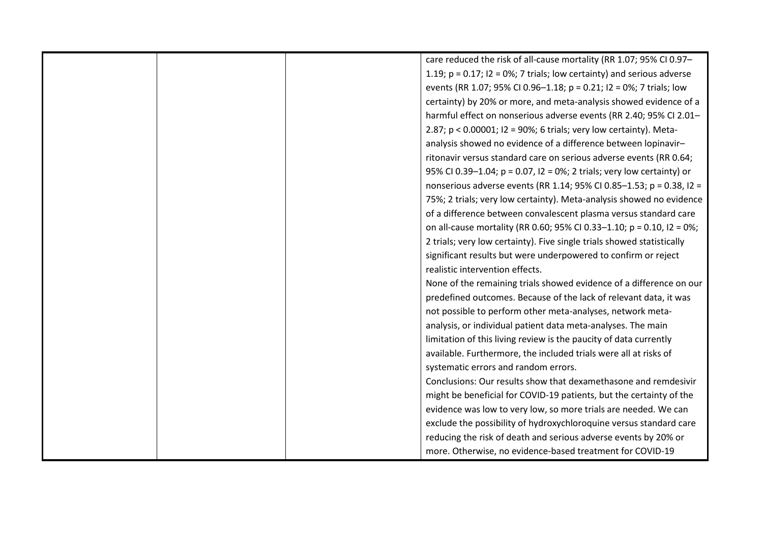|  | care reduced the risk of all-cause mortality (RR 1.07; 95% CI 0.97-          |
|--|------------------------------------------------------------------------------|
|  | 1.19; $p = 0.17$ ; $l2 = 0\%$ ; 7 trials; low certainty) and serious adverse |
|  | events (RR 1.07; 95% CI 0.96-1.18; p = 0.21; I2 = 0%; 7 trials; low          |
|  | certainty) by 20% or more, and meta-analysis showed evidence of a            |
|  | harmful effect on nonserious adverse events (RR 2.40; 95% CI 2.01-           |
|  | 2.87; p < 0.00001; I2 = 90%; 6 trials; very low certainty). Meta-            |
|  | analysis showed no evidence of a difference between lopinavir-               |
|  | ritonavir versus standard care on serious adverse events (RR 0.64;           |
|  | 95% CI 0.39-1.04; p = 0.07, I2 = 0%; 2 trials; very low certainty) or        |
|  | nonserious adverse events (RR 1.14; 95% CI 0.85-1.53; p = 0.38, I2 =         |
|  | 75%; 2 trials; very low certainty). Meta-analysis showed no evidence         |
|  | of a difference between convalescent plasma versus standard care             |
|  | on all-cause mortality (RR 0.60; 95% CI 0.33-1.10; p = 0.10, I2 = 0%;        |
|  | 2 trials; very low certainty). Five single trials showed statistically       |
|  | significant results but were underpowered to confirm or reject               |
|  | realistic intervention effects.                                              |
|  | None of the remaining trials showed evidence of a difference on our          |
|  | predefined outcomes. Because of the lack of relevant data, it was            |
|  | not possible to perform other meta-analyses, network meta-                   |
|  | analysis, or individual patient data meta-analyses. The main                 |
|  | limitation of this living review is the paucity of data currently            |
|  | available. Furthermore, the included trials were all at risks of             |
|  | systematic errors and random errors.                                         |
|  | Conclusions: Our results show that dexamethasone and remdesivir              |
|  | might be beneficial for COVID-19 patients, but the certainty of the          |
|  | evidence was low to very low, so more trials are needed. We can              |
|  | exclude the possibility of hydroxychloroquine versus standard care           |
|  | reducing the risk of death and serious adverse events by 20% or              |
|  | more. Otherwise, no evidence-based treatment for COVID-19                    |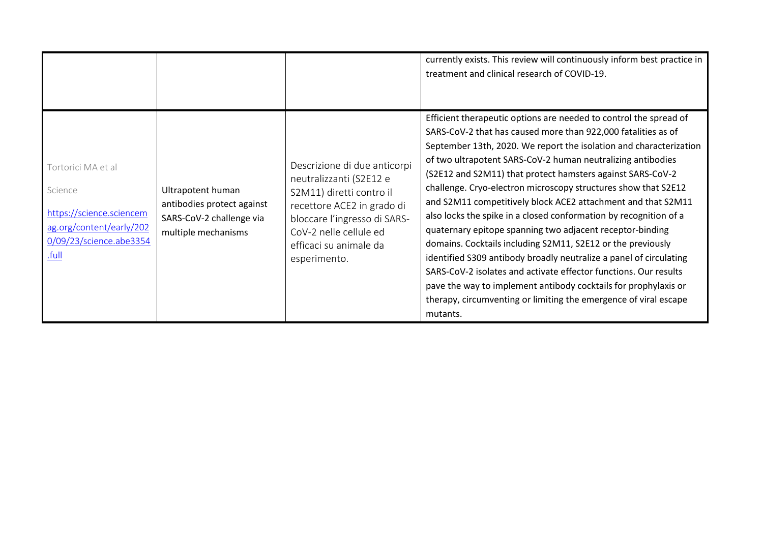|                                                                                                                           |                                                                                                    |                                                                                                                                                                                                                       | currently exists. This review will continuously inform best practice in<br>treatment and clinical research of COVID-19.                                                                                                                                                                                                                                                                                                                                                                                                                                                                                                                                                                                                                                                                                                                                                                                                                                               |
|---------------------------------------------------------------------------------------------------------------------------|----------------------------------------------------------------------------------------------------|-----------------------------------------------------------------------------------------------------------------------------------------------------------------------------------------------------------------------|-----------------------------------------------------------------------------------------------------------------------------------------------------------------------------------------------------------------------------------------------------------------------------------------------------------------------------------------------------------------------------------------------------------------------------------------------------------------------------------------------------------------------------------------------------------------------------------------------------------------------------------------------------------------------------------------------------------------------------------------------------------------------------------------------------------------------------------------------------------------------------------------------------------------------------------------------------------------------|
| Tortorici MA et al<br>Science<br>https://science.sciencem<br>ag.org/content/early/202<br>0/09/23/science.abe3354<br>.full | Ultrapotent human<br>antibodies protect against<br>SARS-CoV-2 challenge via<br>multiple mechanisms | Descrizione di due anticorpi<br>neutralizzanti (S2E12 e<br>S2M11) diretti contro il<br>recettore ACE2 in grado di<br>bloccare l'ingresso di SARS-<br>CoV-2 nelle cellule ed<br>efficaci su animale da<br>esperimento. | Efficient therapeutic options are needed to control the spread of<br>SARS-CoV-2 that has caused more than 922,000 fatalities as of<br>September 13th, 2020. We report the isolation and characterization<br>of two ultrapotent SARS-CoV-2 human neutralizing antibodies<br>(S2E12 and S2M11) that protect hamsters against SARS-CoV-2<br>challenge. Cryo-electron microscopy structures show that S2E12<br>and S2M11 competitively block ACE2 attachment and that S2M11<br>also locks the spike in a closed conformation by recognition of a<br>quaternary epitope spanning two adjacent receptor-binding<br>domains. Cocktails including S2M11, S2E12 or the previously<br>identified S309 antibody broadly neutralize a panel of circulating<br>SARS-CoV-2 isolates and activate effector functions. Our results<br>pave the way to implement antibody cocktails for prophylaxis or<br>therapy, circumventing or limiting the emergence of viral escape<br>mutants. |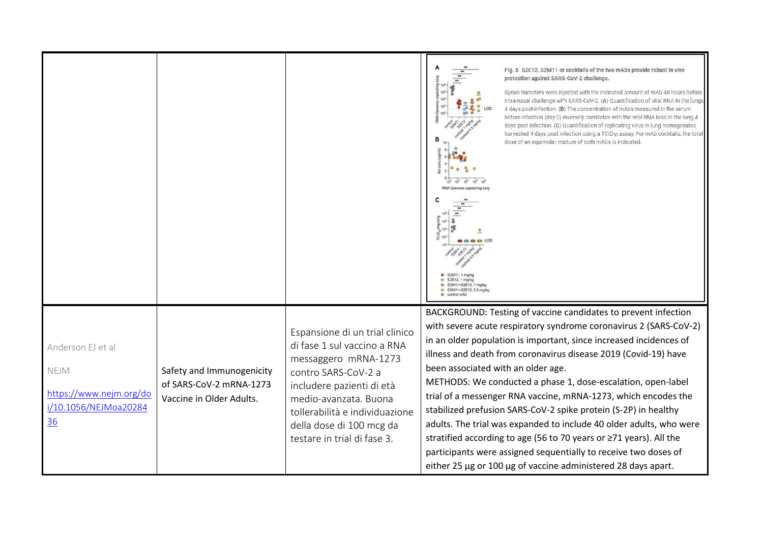|                                                                                            |                                                                                  |                                                                                                                                                                                                                                                                 | Fig. 5 S2E12, S2M11 or cocktails of the two mAbs provide robust in vivo<br>protection against SARS-CoV-2 challenge.<br>Syrian hamsters were injected with the indicated amount of mAb 48 hours before<br>intra-nasal challenge with SARS-CoV-2. (A) Quantification of viral RNA in the lungs<br>4 days post-infection. (B) The concentration of mAbs measured in the serum<br>before infection (day 0) inversely correlates with the viral RNA load in the lung 4<br>days post infection. (C) Quantification of replicating virus in lung homogenates<br>harvested 4 days post infection using a TCID <sub>50</sub> assay. For mAb cocktails, the total<br>dose of an equimolar mixture of both mAbs is indicated.<br>S2E12, 1 mg/kg<br>o S2M11+S2E12, 1 mpkg<br>S2M11+S2E12, 0.5 mg/kg                  |
|--------------------------------------------------------------------------------------------|----------------------------------------------------------------------------------|-----------------------------------------------------------------------------------------------------------------------------------------------------------------------------------------------------------------------------------------------------------------|----------------------------------------------------------------------------------------------------------------------------------------------------------------------------------------------------------------------------------------------------------------------------------------------------------------------------------------------------------------------------------------------------------------------------------------------------------------------------------------------------------------------------------------------------------------------------------------------------------------------------------------------------------------------------------------------------------------------------------------------------------------------------------------------------------|
| Anderson EJ et al<br><b>NEJM</b><br>https://www.nejm.org/do<br>i/10.1056/NEJMoa20284<br>36 | Safety and Immunogenicity<br>of SARS-CoV-2 mRNA-1273<br>Vaccine in Older Adults. | Espansione di un trial clinico<br>di fase 1 sul vaccino a RNA<br>messaggero mRNA-1273<br>contro SARS-CoV-2 a<br>includere pazienti di età<br>medio-avanzata. Buona<br>tollerabilità e individuazione<br>della dose di 100 mcg da<br>testare in trial di fase 3. | BACKGROUND: Testing of vaccine candidates to prevent infection<br>with severe acute respiratory syndrome coronavirus 2 (SARS-CoV-2)<br>in an older population is important, since increased incidences of<br>illness and death from coronavirus disease 2019 (Covid-19) have<br>been associated with an older age.<br>METHODS: We conducted a phase 1, dose-escalation, open-label<br>trial of a messenger RNA vaccine, mRNA-1273, which encodes the<br>stabilized prefusion SARS-CoV-2 spike protein (S-2P) in healthy<br>adults. The trial was expanded to include 40 older adults, who were<br>stratified according to age (56 to 70 years or ≥71 years). All the<br>participants were assigned sequentially to receive two doses of<br>either 25 µg or 100 µg of vaccine administered 28 days apart. |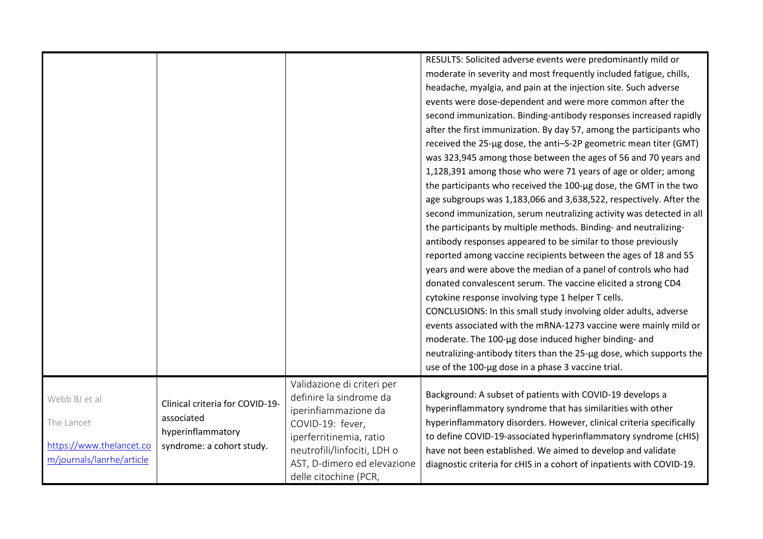|                                                                                      |                                                                                                 |                                                                                                                                                                                                                     | RESULTS: Solicited adverse events were predominantly mild or<br>moderate in severity and most frequently included fatigue, chills,<br>headache, myalgia, and pain at the injection site. Such adverse<br>events were dose-dependent and were more common after the<br>second immunization. Binding-antibody responses increased rapidly<br>after the first immunization. By day 57, among the participants who<br>received the 25-µg dose, the anti-S-2P geometric mean titer (GMT)<br>was 323,945 among those between the ages of 56 and 70 years and<br>1,128,391 among those who were 71 years of age or older; among<br>the participants who received the 100-µg dose, the GMT in the two<br>age subgroups was 1,183,066 and 3,638,522, respectively. After the<br>second immunization, serum neutralizing activity was detected in all<br>the participants by multiple methods. Binding- and neutralizing-<br>antibody responses appeared to be similar to those previously<br>reported among vaccine recipients between the ages of 18 and 55<br>years and were above the median of a panel of controls who had<br>donated convalescent serum. The vaccine elicited a strong CD4<br>cytokine response involving type 1 helper T cells.<br>CONCLUSIONS: In this small study involving older adults, adverse<br>events associated with the mRNA-1273 vaccine were mainly mild or<br>moderate. The 100-µg dose induced higher binding- and<br>neutralizing-antibody titers than the 25-µg dose, which supports the<br>use of the 100-µg dose in a phase 3 vaccine trial. |
|--------------------------------------------------------------------------------------|-------------------------------------------------------------------------------------------------|---------------------------------------------------------------------------------------------------------------------------------------------------------------------------------------------------------------------|-----------------------------------------------------------------------------------------------------------------------------------------------------------------------------------------------------------------------------------------------------------------------------------------------------------------------------------------------------------------------------------------------------------------------------------------------------------------------------------------------------------------------------------------------------------------------------------------------------------------------------------------------------------------------------------------------------------------------------------------------------------------------------------------------------------------------------------------------------------------------------------------------------------------------------------------------------------------------------------------------------------------------------------------------------------------------------------------------------------------------------------------------------------------------------------------------------------------------------------------------------------------------------------------------------------------------------------------------------------------------------------------------------------------------------------------------------------------------------------------------------------------------------------------------------------------------------|
| Webb BJ et al<br>The Lancet<br>https://www.thelancet.co<br>m/journals/lanrhe/article | Clinical criteria for COVID-19-<br>associated<br>hyperinflammatory<br>syndrome: a cohort study. | Validazione di criteri per<br>definire la sindrome da<br>iperinfiammazione da<br>COVID-19: fever,<br>iperferritinemia, ratio<br>neutrofili/linfociti, LDH o<br>AST, D-dimero ed elevazione<br>delle citochine (PCR, | Background: A subset of patients with COVID-19 develops a<br>hyperinflammatory syndrome that has similarities with other<br>hyperinflammatory disorders. However, clinical criteria specifically<br>to define COVID-19-associated hyperinflammatory syndrome (cHIS)<br>have not been established. We aimed to develop and validate<br>diagnostic criteria for cHIS in a cohort of inpatients with COVID-19.                                                                                                                                                                                                                                                                                                                                                                                                                                                                                                                                                                                                                                                                                                                                                                                                                                                                                                                                                                                                                                                                                                                                                                 |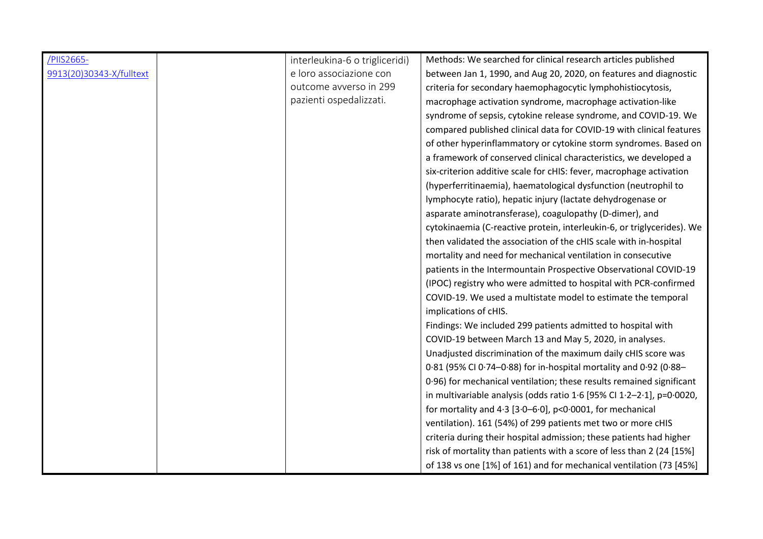| /PIIS2665-               | interleukina-6 o trigliceridi) | Methods: We searched for clinical research articles published              |
|--------------------------|--------------------------------|----------------------------------------------------------------------------|
| 9913(20)30343-X/fulltext | e loro associazione con        | between Jan 1, 1990, and Aug 20, 2020, on features and diagnostic          |
|                          | outcome avverso in 299         | criteria for secondary haemophagocytic lymphohistiocytosis,                |
|                          | pazienti ospedalizzati.        | macrophage activation syndrome, macrophage activation-like                 |
|                          |                                | syndrome of sepsis, cytokine release syndrome, and COVID-19. We            |
|                          |                                | compared published clinical data for COVID-19 with clinical features       |
|                          |                                | of other hyperinflammatory or cytokine storm syndromes. Based on           |
|                          |                                | a framework of conserved clinical characteristics, we developed a          |
|                          |                                | six-criterion additive scale for cHIS: fever, macrophage activation        |
|                          |                                | (hyperferritinaemia), haematological dysfunction (neutrophil to            |
|                          |                                | lymphocyte ratio), hepatic injury (lactate dehydrogenase or                |
|                          |                                | asparate aminotransferase), coagulopathy (D-dimer), and                    |
|                          |                                | cytokinaemia (C-reactive protein, interleukin-6, or triglycerides). We     |
|                          |                                | then validated the association of the cHIS scale with in-hospital          |
|                          |                                | mortality and need for mechanical ventilation in consecutive               |
|                          |                                | patients in the Intermountain Prospective Observational COVID-19           |
|                          |                                | (IPOC) registry who were admitted to hospital with PCR-confirmed           |
|                          |                                | COVID-19. We used a multistate model to estimate the temporal              |
|                          |                                | implications of cHIS.                                                      |
|                          |                                | Findings: We included 299 patients admitted to hospital with               |
|                          |                                | COVID-19 between March 13 and May 5, 2020, in analyses.                    |
|                          |                                | Unadjusted discrimination of the maximum daily cHIS score was              |
|                          |                                | 0.81 (95% CI 0.74-0.88) for in-hospital mortality and 0.92 (0.88-          |
|                          |                                | 0.96) for mechanical ventilation; these results remained significant       |
|                          |                                | in multivariable analysis (odds ratio $1.6$ [95% CI $1.2-2.1$ ], p=0.0020, |
|                          |                                | for mortality and $4.3$ [3.0–6.0], p<0.0001, for mechanical                |
|                          |                                | ventilation). 161 (54%) of 299 patients met two or more cHIS               |
|                          |                                | criteria during their hospital admission; these patients had higher        |
|                          |                                | risk of mortality than patients with a score of less than 2 (24 [15%]      |
|                          |                                | of 138 vs one [1%] of 161) and for mechanical ventilation (73 [45%]        |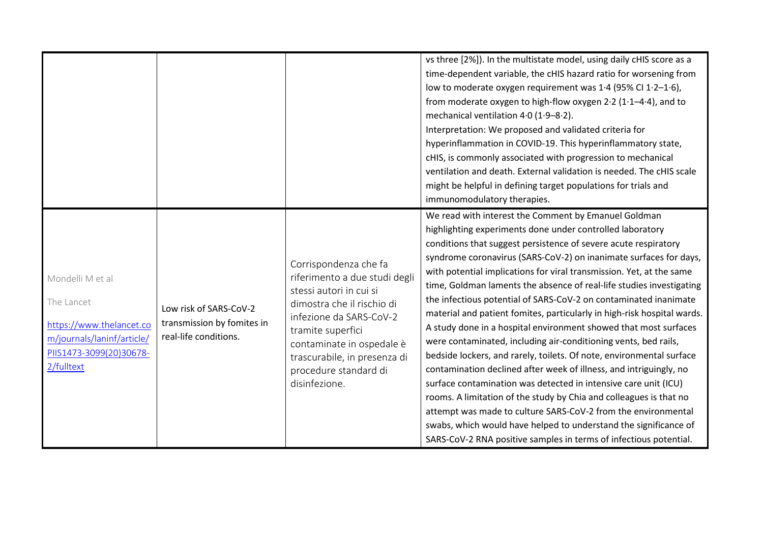|                                                                                                                                   |                                                                               |                                                                                                                                                                                                                                                                        | vs three [2%]). In the multistate model, using daily cHIS score as a<br>time-dependent variable, the cHIS hazard ratio for worsening from<br>low to moderate oxygen requirement was 1.4 (95% CI 1.2-1.6),<br>from moderate oxygen to high-flow oxygen $2.2$ (1 $-4.4$ ), and to<br>mechanical ventilation 4.0 (1.9-8.2).<br>Interpretation: We proposed and validated criteria for<br>hyperinflammation in COVID-19. This hyperinflammatory state,<br>cHIS, is commonly associated with progression to mechanical<br>ventilation and death. External validation is needed. The cHIS scale<br>might be helpful in defining target populations for trials and<br>immunomodulatory therapies.                                                                                                                                                                                                                                                                                                                                                                                                                                                                                                       |
|-----------------------------------------------------------------------------------------------------------------------------------|-------------------------------------------------------------------------------|------------------------------------------------------------------------------------------------------------------------------------------------------------------------------------------------------------------------------------------------------------------------|--------------------------------------------------------------------------------------------------------------------------------------------------------------------------------------------------------------------------------------------------------------------------------------------------------------------------------------------------------------------------------------------------------------------------------------------------------------------------------------------------------------------------------------------------------------------------------------------------------------------------------------------------------------------------------------------------------------------------------------------------------------------------------------------------------------------------------------------------------------------------------------------------------------------------------------------------------------------------------------------------------------------------------------------------------------------------------------------------------------------------------------------------------------------------------------------------|
| Mondelli M et al<br>The Lancet<br>https://www.thelancet.co<br>m/journals/laninf/article/<br>PIIS1473-3099(20)30678-<br>2/fulltext | Low risk of SARS-CoV-2<br>transmission by fomites in<br>real-life conditions. | Corrispondenza che fa<br>riferimento a due studi degli<br>stessi autori in cui si<br>dimostra che il rischio di<br>infezione da SARS-CoV-2<br>tramite superfici<br>contaminate in ospedale è<br>trascurabile, in presenza di<br>procedure standard di<br>disinfezione. | We read with interest the Comment by Emanuel Goldman<br>highlighting experiments done under controlled laboratory<br>conditions that suggest persistence of severe acute respiratory<br>syndrome coronavirus (SARS-CoV-2) on inanimate surfaces for days,<br>with potential implications for viral transmission. Yet, at the same<br>time, Goldman laments the absence of real-life studies investigating<br>the infectious potential of SARS-CoV-2 on contaminated inanimate<br>material and patient fomites, particularly in high-risk hospital wards.<br>A study done in a hospital environment showed that most surfaces<br>were contaminated, including air-conditioning vents, bed rails,<br>bedside lockers, and rarely, toilets. Of note, environmental surface<br>contamination declined after week of illness, and intriguingly, no<br>surface contamination was detected in intensive care unit (ICU)<br>rooms. A limitation of the study by Chia and colleagues is that no<br>attempt was made to culture SARS-CoV-2 from the environmental<br>swabs, which would have helped to understand the significance of<br>SARS-CoV-2 RNA positive samples in terms of infectious potential. |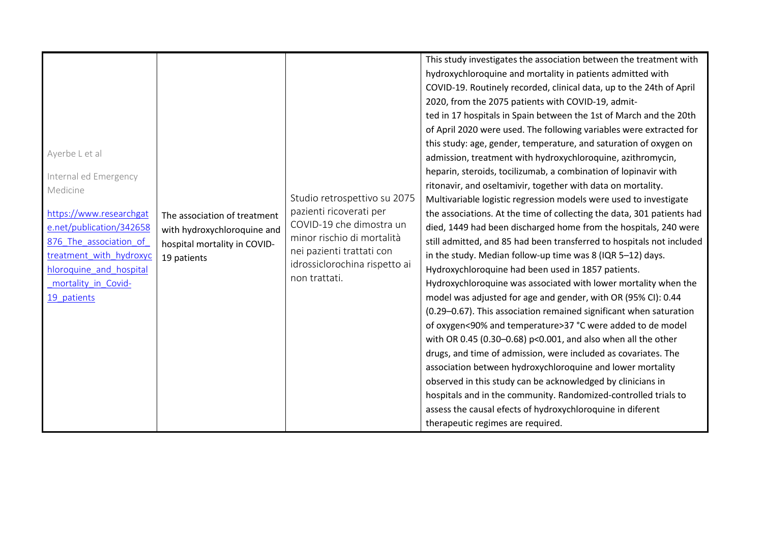| Ayerbe L et al<br>Internal ed Emergency<br>Medicine<br>https://www.researchgat<br>The association of treatment<br>e.net/publication/342658<br>with hydroxychloroquine and<br>876 The association of<br>hospital mortality in COVID-<br>treatment with hydroxyc<br>19 patients<br>hloroquine and hospital<br>mortality_in_Covid-<br>19 patients | Studio retrospettivo su 2075<br>pazienti ricoverati per<br>COVID-19 che dimostra un<br>minor rischio di mortalità<br>nei pazienti trattati con<br>idrossiclorochina rispetto ai<br>non trattati. | This study investigates the association between the treatment with<br>hydroxychloroquine and mortality in patients admitted with<br>COVID-19. Routinely recorded, clinical data, up to the 24th of April<br>2020, from the 2075 patients with COVID-19, admit-<br>ted in 17 hospitals in Spain between the 1st of March and the 20th<br>of April 2020 were used. The following variables were extracted for<br>this study: age, gender, temperature, and saturation of oxygen on<br>admission, treatment with hydroxychloroquine, azithromycin,<br>heparin, steroids, tocilizumab, a combination of lopinavir with<br>ritonavir, and oseltamivir, together with data on mortality.<br>Multivariable logistic regression models were used to investigate<br>the associations. At the time of collecting the data, 301 patients had<br>died, 1449 had been discharged home from the hospitals, 240 were<br>still admitted, and 85 had been transferred to hospitals not included<br>in the study. Median follow-up time was 8 (IQR 5-12) days.<br>Hydroxychloroquine had been used in 1857 patients.<br>Hydroxychloroquine was associated with lower mortality when the<br>model was adjusted for age and gender, with OR (95% CI): 0.44<br>(0.29-0.67). This association remained significant when saturation<br>of oxygen<90% and temperature>37 °C were added to de model<br>with OR 0.45 (0.30-0.68) p<0.001, and also when all the other<br>drugs, and time of admission, were included as covariates. The<br>association between hydroxychloroquine and lower mortality<br>observed in this study can be acknowledged by clinicians in<br>hospitals and in the community. Randomized-controlled trials to |
|------------------------------------------------------------------------------------------------------------------------------------------------------------------------------------------------------------------------------------------------------------------------------------------------------------------------------------------------|--------------------------------------------------------------------------------------------------------------------------------------------------------------------------------------------------|---------------------------------------------------------------------------------------------------------------------------------------------------------------------------------------------------------------------------------------------------------------------------------------------------------------------------------------------------------------------------------------------------------------------------------------------------------------------------------------------------------------------------------------------------------------------------------------------------------------------------------------------------------------------------------------------------------------------------------------------------------------------------------------------------------------------------------------------------------------------------------------------------------------------------------------------------------------------------------------------------------------------------------------------------------------------------------------------------------------------------------------------------------------------------------------------------------------------------------------------------------------------------------------------------------------------------------------------------------------------------------------------------------------------------------------------------------------------------------------------------------------------------------------------------------------------------------------------------------------------------------------------------------------------------------------------------------------|
|                                                                                                                                                                                                                                                                                                                                                |                                                                                                                                                                                                  | assess the causal efects of hydroxychloroquine in diferent<br>therapeutic regimes are required.                                                                                                                                                                                                                                                                                                                                                                                                                                                                                                                                                                                                                                                                                                                                                                                                                                                                                                                                                                                                                                                                                                                                                                                                                                                                                                                                                                                                                                                                                                                                                                                                               |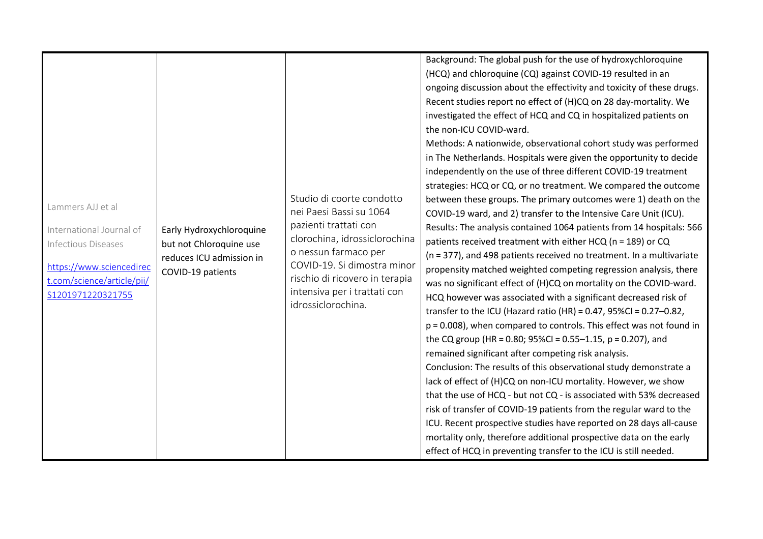| Lammers AJJ et al<br>International Journal of<br><b>Infectious Diseases</b><br>https://www.sciencedirec<br>t.com/science/article/pii/<br>S1201971220321755 | Early Hydroxychloroquine<br>but not Chloroquine use<br>reduces ICU admission in<br>COVID-19 patients | Studio di coorte condotto<br>nei Paesi Bassi su 1064<br>pazienti trattati con<br>clorochina, idrossiclorochina<br>o nessun farmaco per<br>COVID-19. Si dimostra minor<br>rischio di ricovero in terapia<br>intensiva per i trattati con<br>idrossiclorochina. | Background: The global push for the use of hydroxychloroquine<br>(HCQ) and chloroquine (CQ) against COVID-19 resulted in an<br>ongoing discussion about the effectivity and toxicity of these drugs.<br>Recent studies report no effect of (H)CQ on 28 day-mortality. We<br>investigated the effect of HCQ and CQ in hospitalized patients on<br>the non-ICU COVID-ward.<br>Methods: A nationwide, observational cohort study was performed<br>in The Netherlands. Hospitals were given the opportunity to decide<br>independently on the use of three different COVID-19 treatment<br>strategies: HCQ or CQ, or no treatment. We compared the outcome<br>between these groups. The primary outcomes were 1) death on the<br>COVID-19 ward, and 2) transfer to the Intensive Care Unit (ICU).<br>Results: The analysis contained 1064 patients from 14 hospitals: 566<br>patients received treatment with either HCQ (n = 189) or CQ<br>(n = 377), and 498 patients received no treatment. In a multivariate<br>propensity matched weighted competing regression analysis, there<br>was no significant effect of (H)CQ on mortality on the COVID-ward.<br>HCQ however was associated with a significant decreased risk of<br>transfer to the ICU (Hazard ratio (HR) = $0.47$ , 95%CI = $0.27 - 0.82$ ,<br>p = 0.008), when compared to controls. This effect was not found in<br>the CQ group (HR = 0.80; 95%CI = 0.55-1.15, p = 0.207), and<br>remained significant after competing risk analysis.<br>Conclusion: The results of this observational study demonstrate a<br>lack of effect of (H)CQ on non-ICU mortality. However, we show<br>that the use of HCQ - but not CQ - is associated with 53% decreased<br>risk of transfer of COVID-19 patients from the regular ward to the<br>ICU. Recent prospective studies have reported on 28 days all-cause<br>mortality only, therefore additional prospective data on the early |
|------------------------------------------------------------------------------------------------------------------------------------------------------------|------------------------------------------------------------------------------------------------------|---------------------------------------------------------------------------------------------------------------------------------------------------------------------------------------------------------------------------------------------------------------|-------------------------------------------------------------------------------------------------------------------------------------------------------------------------------------------------------------------------------------------------------------------------------------------------------------------------------------------------------------------------------------------------------------------------------------------------------------------------------------------------------------------------------------------------------------------------------------------------------------------------------------------------------------------------------------------------------------------------------------------------------------------------------------------------------------------------------------------------------------------------------------------------------------------------------------------------------------------------------------------------------------------------------------------------------------------------------------------------------------------------------------------------------------------------------------------------------------------------------------------------------------------------------------------------------------------------------------------------------------------------------------------------------------------------------------------------------------------------------------------------------------------------------------------------------------------------------------------------------------------------------------------------------------------------------------------------------------------------------------------------------------------------------------------------------------------------------------------------------------------------------------------------------------------------------------|
|                                                                                                                                                            |                                                                                                      |                                                                                                                                                                                                                                                               | effect of HCQ in preventing transfer to the ICU is still needed.                                                                                                                                                                                                                                                                                                                                                                                                                                                                                                                                                                                                                                                                                                                                                                                                                                                                                                                                                                                                                                                                                                                                                                                                                                                                                                                                                                                                                                                                                                                                                                                                                                                                                                                                                                                                                                                                    |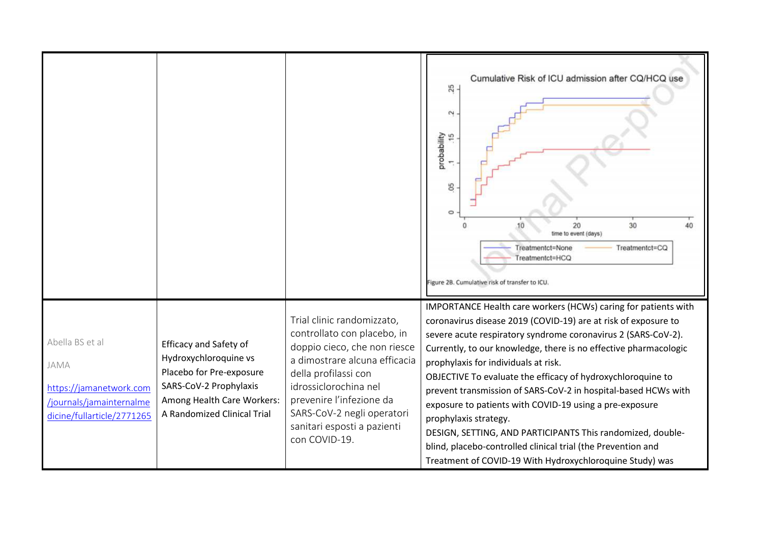|                                                                                                              |                                                                                                                                                                           |                                                                                                                                                                                                                                                                                       | Cumulative Risk of ICU admission after CQ/HCQ use<br>$\frac{25}{2}$<br>$\sim$<br>probability<br>1 .15<br>8 <sup>5</sup><br>$\circ$<br>30<br>40<br>20<br>10<br>time to event (days)<br>Treatmentct=None<br>Treatmentct=CQ<br>Treatmentct=HCQ<br>Figure 2B. Cumulative risk of transfer to ICU.                                                                                                                                                                                                                                                                                                                                                                                                                                |
|--------------------------------------------------------------------------------------------------------------|---------------------------------------------------------------------------------------------------------------------------------------------------------------------------|---------------------------------------------------------------------------------------------------------------------------------------------------------------------------------------------------------------------------------------------------------------------------------------|------------------------------------------------------------------------------------------------------------------------------------------------------------------------------------------------------------------------------------------------------------------------------------------------------------------------------------------------------------------------------------------------------------------------------------------------------------------------------------------------------------------------------------------------------------------------------------------------------------------------------------------------------------------------------------------------------------------------------|
| Abella BS et al<br>JAMA<br>https://jamanetwork.com<br>/journals/jamainternalme<br>dicine/fullarticle/2771265 | <b>Efficacy and Safety of</b><br>Hydroxychloroquine vs<br>Placebo for Pre-exposure<br>SARS-CoV-2 Prophylaxis<br>Among Health Care Workers:<br>A Randomized Clinical Trial | Trial clinic randomizzato,<br>controllato con placebo, in<br>doppio cieco, che non riesce<br>a dimostrare alcuna efficacia<br>della profilassi con<br>idrossiclorochina nel<br>prevenire l'infezione da<br>SARS-CoV-2 negli operatori<br>sanitari esposti a pazienti<br>con COVID-19. | IMPORTANCE Health care workers (HCWs) caring for patients with<br>coronavirus disease 2019 (COVID-19) are at risk of exposure to<br>severe acute respiratory syndrome coronavirus 2 (SARS-CoV-2).<br>Currently, to our knowledge, there is no effective pharmacologic<br>prophylaxis for individuals at risk.<br>OBJECTIVE To evaluate the efficacy of hydroxychloroquine to<br>prevent transmission of SARS-CoV-2 in hospital-based HCWs with<br>exposure to patients with COVID-19 using a pre-exposure<br>prophylaxis strategy.<br>DESIGN, SETTING, AND PARTICIPANTS This randomized, double-<br>blind, placebo-controlled clinical trial (the Prevention and<br>Treatment of COVID-19 With Hydroxychloroquine Study) was |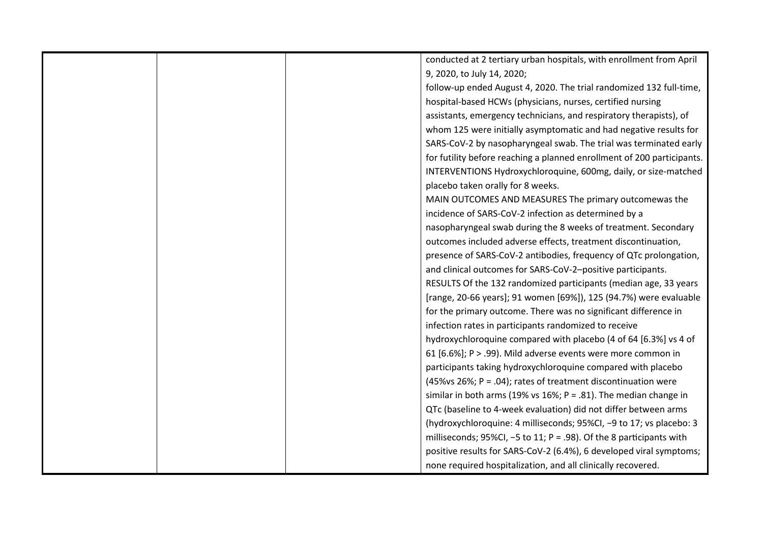|  | conducted at 2 tertiary urban hospitals, with enrollment from April     |
|--|-------------------------------------------------------------------------|
|  | 9, 2020, to July 14, 2020;                                              |
|  | follow-up ended August 4, 2020. The trial randomized 132 full-time,     |
|  | hospital-based HCWs (physicians, nurses, certified nursing              |
|  | assistants, emergency technicians, and respiratory therapists), of      |
|  | whom 125 were initially asymptomatic and had negative results for       |
|  | SARS-CoV-2 by nasopharyngeal swab. The trial was terminated early       |
|  | for futility before reaching a planned enrollment of 200 participants.  |
|  | INTERVENTIONS Hydroxychloroquine, 600mg, daily, or size-matched         |
|  | placebo taken orally for 8 weeks.                                       |
|  | MAIN OUTCOMES AND MEASURES The primary outcomewas the                   |
|  | incidence of SARS-CoV-2 infection as determined by a                    |
|  | nasopharyngeal swab during the 8 weeks of treatment. Secondary          |
|  | outcomes included adverse effects, treatment discontinuation,           |
|  | presence of SARS-CoV-2 antibodies, frequency of QTc prolongation,       |
|  | and clinical outcomes for SARS-CoV-2-positive participants.             |
|  | RESULTS Of the 132 randomized participants (median age, 33 years        |
|  | [range, 20-66 years]; 91 women [69%]), 125 (94.7%) were evaluable       |
|  | for the primary outcome. There was no significant difference in         |
|  | infection rates in participants randomized to receive                   |
|  | hydroxychloroquine compared with placebo (4 of 64 [6.3%] vs 4 of        |
|  | 61 [6.6%]; P > .99). Mild adverse events were more common in            |
|  | participants taking hydroxychloroquine compared with placebo            |
|  | (45% vs 26%; $P = .04$ ); rates of treatment discontinuation were       |
|  | similar in both arms (19% vs 16%; $P = .81$ ). The median change in     |
|  | QTc (baseline to 4-week evaluation) did not differ between arms         |
|  | (hydroxychloroquine: 4 milliseconds; 95%CI, -9 to 17; vs placebo: 3     |
|  | milliseconds; $95\%$ CI, -5 to 11; P = .98). Of the 8 participants with |
|  | positive results for SARS-CoV-2 (6.4%), 6 developed viral symptoms;     |
|  | none required hospitalization, and all clinically recovered.            |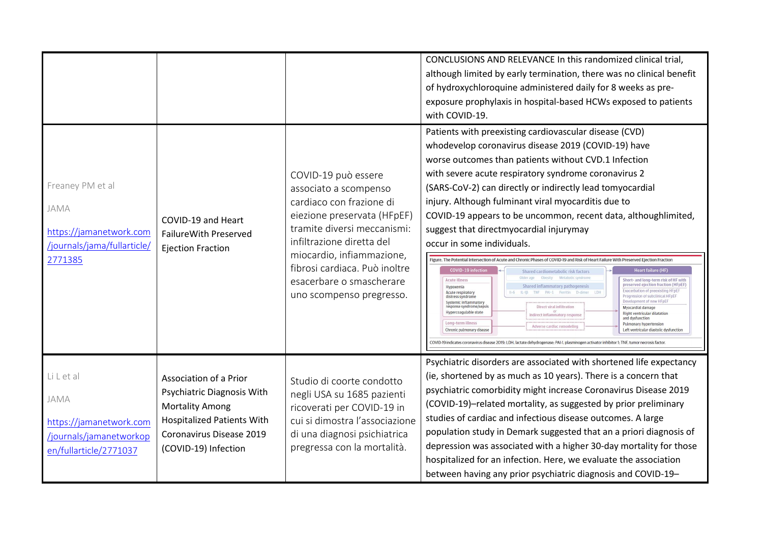|                                                                                                 |                                                                                                                                                                         |                                                                                                                                                                                                                                                                                           | CONCLUSIONS AND RELEVANCE In this randomized clinical trial,<br>although limited by early termination, there was no clinical benefit<br>of hydroxychloroquine administered daily for 8 weeks as pre-<br>exposure prophylaxis in hospital-based HCWs exposed to patients<br>with COVID-19.                                                                                                                                                                                                                                                                                                                                                                                                                                                                                                                                                                                                                                                                                                                                                                                                                                                                                                                                                                                                                                                                                                                                                                                                                                                                                                                                    |
|-------------------------------------------------------------------------------------------------|-------------------------------------------------------------------------------------------------------------------------------------------------------------------------|-------------------------------------------------------------------------------------------------------------------------------------------------------------------------------------------------------------------------------------------------------------------------------------------|------------------------------------------------------------------------------------------------------------------------------------------------------------------------------------------------------------------------------------------------------------------------------------------------------------------------------------------------------------------------------------------------------------------------------------------------------------------------------------------------------------------------------------------------------------------------------------------------------------------------------------------------------------------------------------------------------------------------------------------------------------------------------------------------------------------------------------------------------------------------------------------------------------------------------------------------------------------------------------------------------------------------------------------------------------------------------------------------------------------------------------------------------------------------------------------------------------------------------------------------------------------------------------------------------------------------------------------------------------------------------------------------------------------------------------------------------------------------------------------------------------------------------------------------------------------------------------------------------------------------------|
| Freaney PM et al<br>JAMA<br>https://jamanetwork.com<br>/journals/jama/fullarticle/<br>2771385   | COVID-19 and Heart<br>Failure With Preserved<br><b>Ejection Fraction</b>                                                                                                | COVID-19 può essere<br>associato a scompenso<br>cardiaco con frazione di<br>eiezione preservata (HFpEF)<br>tramite diversi meccanismi:<br>infiltrazione diretta del<br>miocardio, infiammazione,<br>fibrosi cardiaca. Può inoltre<br>esacerbare o smascherare<br>uno scompenso pregresso. | Patients with preexisting cardiovascular disease (CVD)<br>whodevelop coronavirus disease 2019 (COVID-19) have<br>worse outcomes than patients without CVD.1 Infection<br>with severe acute respiratory syndrome coronavirus 2<br>(SARS-CoV-2) can directly or indirectly lead tomyocardial<br>injury. Although fulminant viral myocarditis due to<br>COVID-19 appears to be uncommon, recent data, althoughlimited,<br>suggest that directmyocardial injurymay<br>occur in some individuals.<br>Figure. The Potential Intersection of Acute and Chronic Phases of COVID-19 and Risk of Heart Failure With Preserved Ejection Fraction<br><b>COVID-19 infection</b><br><b>Heart failure (HF)</b><br>Shared cardiometabolic risk factors<br><b>Acute illness</b><br>Short- and long-term risk of HF with<br>preserved ejection fraction (HFpEF)<br><b>Shared inflammatory pathogenesis</b><br>Hypoxemia<br><b>Exacerbation of preexisting HFpEF</b><br>Acute respiratory<br>PAI-1 Ferritin D-dimer<br>LDH<br>Progression of subclinical HFpEF<br>distress syndrome<br>Development of new HFpEF<br>Systemic inflammatory<br>response syndrome/sepsis<br>Direct viral infiltration<br>Myocardial damage<br>Hypercoagulable state<br>or<br>Indirect inflammatory response<br>Right ventricular dilatation<br>and dysfunction<br>Long-term illness<br>Pulmonary hypertension<br>Adverse cardiac remodeling<br>Chronic pulmonary disease<br>Left ventricular diastolic dysfunction<br>COVID-19 indicates coronavirus disease 2019; LDH, lactate dehydrogenase; PAI-1, plasminogen activator inhibitor 1; TNF, tumor necrosis factor |
| LiLetal<br>JAMA<br>https://jamanetwork.com<br>/journals/jamanetworkop<br>en/fullarticle/2771037 | Association of a Prior<br>Psychiatric Diagnosis With<br><b>Mortality Among</b><br><b>Hospitalized Patients With</b><br>Coronavirus Disease 2019<br>(COVID-19) Infection | Studio di coorte condotto<br>negli USA su 1685 pazienti<br>ricoverati per COVID-19 in<br>cui si dimostra l'associazione<br>di una diagnosi psichiatrica<br>pregressa con la mortalità.                                                                                                    | Psychiatric disorders are associated with shortened life expectancy<br>(ie, shortened by as much as 10 years). There is a concern that<br>psychiatric comorbidity might increase Coronavirus Disease 2019<br>(COVID-19)-related mortality, as suggested by prior preliminary<br>studies of cardiac and infectious disease outcomes. A large<br>population study in Demark suggested that an a priori diagnosis of<br>depression was associated with a higher 30-day mortality for those<br>hospitalized for an infection. Here, we evaluate the association<br>between having any prior psychiatric diagnosis and COVID-19-                                                                                                                                                                                                                                                                                                                                                                                                                                                                                                                                                                                                                                                                                                                                                                                                                                                                                                                                                                                                  |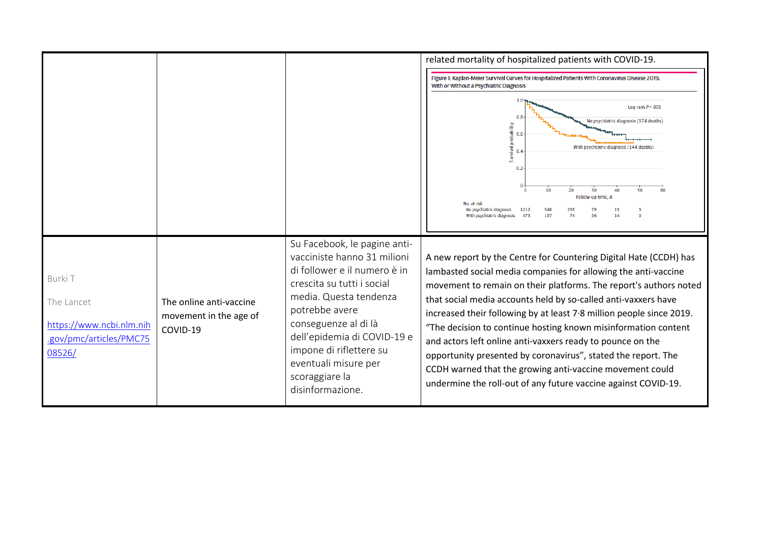|                                                                                        |                                                               |                                                                                                                                                                                                                                                                                                                       | related mortality of hospitalized patients with COVID-19.                                                                                                                                                                                                                                                                                                                                                                                                                                                                                                                                                                                                                         |
|----------------------------------------------------------------------------------------|---------------------------------------------------------------|-----------------------------------------------------------------------------------------------------------------------------------------------------------------------------------------------------------------------------------------------------------------------------------------------------------------------|-----------------------------------------------------------------------------------------------------------------------------------------------------------------------------------------------------------------------------------------------------------------------------------------------------------------------------------------------------------------------------------------------------------------------------------------------------------------------------------------------------------------------------------------------------------------------------------------------------------------------------------------------------------------------------------|
|                                                                                        |                                                               |                                                                                                                                                                                                                                                                                                                       | Figure 1. Kaplan-Meier Survival Curves for Hospitalized Patients With Coronavirus Disease 2019,<br>With or Without a Psychiatric Diagnosis                                                                                                                                                                                                                                                                                                                                                                                                                                                                                                                                        |
|                                                                                        |                                                               |                                                                                                                                                                                                                                                                                                                       | Log-rank $P < .001$<br>No psychiatric diagnosis (174 deaths)<br>robability<br>0.6<br>urvival p<br>With psychiatric diagnosis (144 deaths)<br>0.4<br>0.2 <sub>2</sub>                                                                                                                                                                                                                                                                                                                                                                                                                                                                                                              |
|                                                                                        |                                                               |                                                                                                                                                                                                                                                                                                                       | 10<br>20<br>30<br>Follow-up time, d<br>No. at risk<br>No psychiatric diagnosis<br>1212<br>548<br>255<br>473<br>197<br>74<br>36<br>With psychiatric diagnosis<br>14                                                                                                                                                                                                                                                                                                                                                                                                                                                                                                                |
| Burki T<br>The Lancet<br>https://www.ncbi.nlm.nih<br>.gov/pmc/articles/PMC75<br>08526/ | The online anti-vaccine<br>movement in the age of<br>COVID-19 | Su Facebook, le pagine anti-<br>vacciniste hanno 31 milioni<br>di follower e il numero è in<br>crescita su tutti i social<br>media. Questa tendenza<br>potrebbe avere<br>conseguenze al di là<br>dell'epidemia di COVID-19 e<br>impone di riflettere su<br>eventuali misure per<br>scoraggiare la<br>disinformazione. | A new report by the Centre for Countering Digital Hate (CCDH) has<br>lambasted social media companies for allowing the anti-vaccine<br>movement to remain on their platforms. The report's authors noted<br>that social media accounts held by so-called anti-vaxxers have<br>increased their following by at least 7.8 million people since 2019.<br>"The decision to continue hosting known misinformation content<br>and actors left online anti-vaxxers ready to pounce on the<br>opportunity presented by coronavirus", stated the report. The<br>CCDH warned that the growing anti-vaccine movement could<br>undermine the roll-out of any future vaccine against COVID-19. |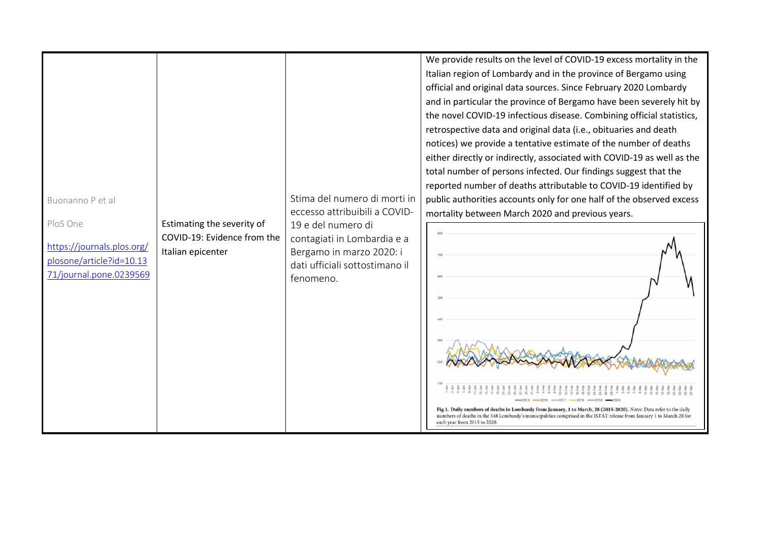| Buonanno P et al<br>Estimating the severity of<br>PloS One<br>COVID-19: Evidence from the<br>https://journals.plos.org/<br>Italian epicenter<br>plosone/article?id=10.13<br>71/journal.pone.0239569<br>fenomeno. | We provide results on the level of COVID-19 excess mortality in the<br>Italian region of Lombardy and in the province of Bergamo using<br>official and original data sources. Since February 2020 Lombardy<br>and in particular the province of Bergamo have been severely hit by<br>the novel COVID-19 infectious disease. Combining official statistics,<br>retrospective data and original data (i.e., obituaries and death<br>notices) we provide a tentative estimate of the number of deaths<br>either directly or indirectly, associated with COVID-19 as well as the<br>total number of persons infected. Our findings suggest that the<br>reported number of deaths attributable to COVID-19 identified by<br>Stima del numero di morti in<br>public authorities accounts only for one half of the observed excess<br>eccesso attribuibili a COVID-<br>mortality between March 2020 and previous years.<br>19 e del numero di<br>contagiati in Lombardia e a<br>Bergamo in marzo 2020: i<br>dati ufficiali sottostimano il |
|------------------------------------------------------------------------------------------------------------------------------------------------------------------------------------------------------------------|-------------------------------------------------------------------------------------------------------------------------------------------------------------------------------------------------------------------------------------------------------------------------------------------------------------------------------------------------------------------------------------------------------------------------------------------------------------------------------------------------------------------------------------------------------------------------------------------------------------------------------------------------------------------------------------------------------------------------------------------------------------------------------------------------------------------------------------------------------------------------------------------------------------------------------------------------------------------------------------------------------------------------------------|
|------------------------------------------------------------------------------------------------------------------------------------------------------------------------------------------------------------------|-------------------------------------------------------------------------------------------------------------------------------------------------------------------------------------------------------------------------------------------------------------------------------------------------------------------------------------------------------------------------------------------------------------------------------------------------------------------------------------------------------------------------------------------------------------------------------------------------------------------------------------------------------------------------------------------------------------------------------------------------------------------------------------------------------------------------------------------------------------------------------------------------------------------------------------------------------------------------------------------------------------------------------------|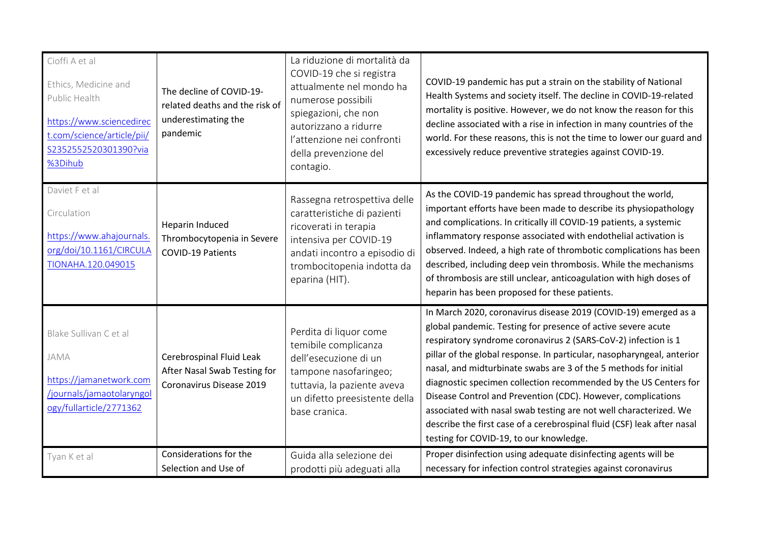| Cioffi A et al<br>Ethics, Medicine and<br>Public Health<br>https://www.sciencedirec<br>t.com/science/article/pii/<br>S2352552520301390?via<br>%3Dihub | The decline of COVID-19-<br>related deaths and the risk of<br>underestimating the<br>pandemic | La riduzione di mortalità da<br>COVID-19 che si registra<br>attualmente nel mondo ha<br>numerose possibili<br>spiegazioni, che non<br>autorizzano a ridurre<br>l'attenzione nei confronti<br>della prevenzione del<br>contagio. | COVID-19 pandemic has put a strain on the stability of National<br>Health Systems and society itself. The decline in COVID-19-related<br>mortality is positive. However, we do not know the reason for this<br>decline associated with a rise in infection in many countries of the<br>world. For these reasons, this is not the time to lower our guard and<br>excessively reduce preventive strategies against COVID-19.                                                                                                                                                                                                                                                     |
|-------------------------------------------------------------------------------------------------------------------------------------------------------|-----------------------------------------------------------------------------------------------|---------------------------------------------------------------------------------------------------------------------------------------------------------------------------------------------------------------------------------|--------------------------------------------------------------------------------------------------------------------------------------------------------------------------------------------------------------------------------------------------------------------------------------------------------------------------------------------------------------------------------------------------------------------------------------------------------------------------------------------------------------------------------------------------------------------------------------------------------------------------------------------------------------------------------|
| Daviet F et al<br>Circulation<br>https://www.ahajournals.<br>org/doi/10.1161/CIRCULA<br>TIONAHA.120.049015                                            | Heparin Induced<br>Thrombocytopenia in Severe<br><b>COVID-19 Patients</b>                     | Rassegna retrospettiva delle<br>caratteristiche di pazienti<br>ricoverati in terapia<br>intensiva per COVID-19<br>andati incontro a episodio di<br>trombocitopenia indotta da<br>eparina (HIT).                                 | As the COVID-19 pandemic has spread throughout the world,<br>important efforts have been made to describe its physiopathology<br>and complications. In critically ill COVID-19 patients, a systemic<br>inflammatory response associated with endothelial activation is<br>observed. Indeed, a high rate of thrombotic complications has been<br>described, including deep vein thrombosis. While the mechanisms<br>of thrombosis are still unclear, anticoagulation with high doses of<br>heparin has been proposed for these patients.                                                                                                                                        |
| Blake Sullivan C et al<br>JAMA<br>https://jamanetwork.com<br>/journals/jamaotolaryngol<br>ogy/fullarticle/2771362                                     | Cerebrospinal Fluid Leak<br>After Nasal Swab Testing for<br>Coronavirus Disease 2019          | Perdita di liquor come<br>temibile complicanza<br>dell'esecuzione di un<br>tampone nasofaringeo;<br>tuttavia, la paziente aveva<br>un difetto preesistente della<br>base cranica.                                               | In March 2020, coronavirus disease 2019 (COVID-19) emerged as a<br>global pandemic. Testing for presence of active severe acute<br>respiratory syndrome coronavirus 2 (SARS-CoV-2) infection is 1<br>pillar of the global response. In particular, nasopharyngeal, anterior<br>nasal, and midturbinate swabs are 3 of the 5 methods for initial<br>diagnostic specimen collection recommended by the US Centers for<br>Disease Control and Prevention (CDC). However, complications<br>associated with nasal swab testing are not well characterized. We<br>describe the first case of a cerebrospinal fluid (CSF) leak after nasal<br>testing for COVID-19, to our knowledge. |
| Tyan K et al                                                                                                                                          | Considerations for the<br>Selection and Use of                                                | Guida alla selezione dei<br>prodotti più adeguati alla                                                                                                                                                                          | Proper disinfection using adequate disinfecting agents will be<br>necessary for infection control strategies against coronavirus                                                                                                                                                                                                                                                                                                                                                                                                                                                                                                                                               |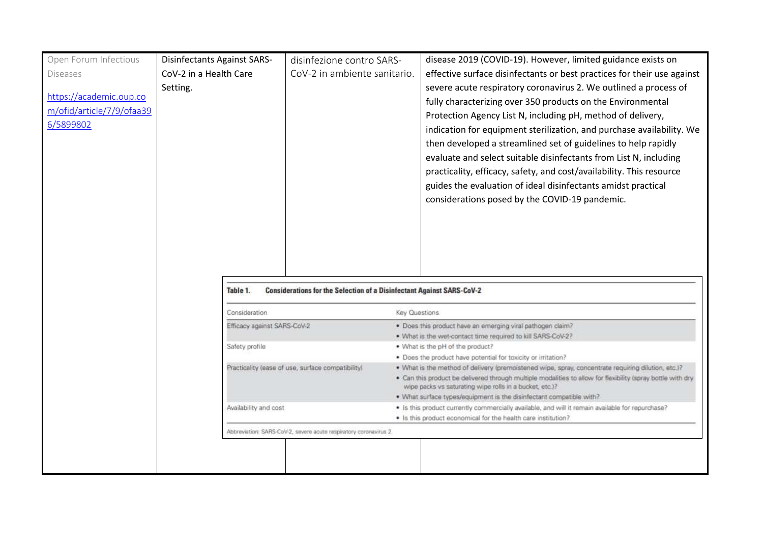| Open Forum Infectious                                             | <b>Disinfectants Against SARS-</b> | disinfezione contro SARS-                                                    |               | disease 2019 (COVID-19). However, limited guidance exists on                                                                                                                                                                                                                                                                                                                                                                                                                                                                                                                                                                                                                         |
|-------------------------------------------------------------------|------------------------------------|------------------------------------------------------------------------------|---------------|--------------------------------------------------------------------------------------------------------------------------------------------------------------------------------------------------------------------------------------------------------------------------------------------------------------------------------------------------------------------------------------------------------------------------------------------------------------------------------------------------------------------------------------------------------------------------------------------------------------------------------------------------------------------------------------|
| <b>Diseases</b>                                                   | CoV-2 in a Health Care             | CoV-2 in ambiente sanitario.                                                 |               |                                                                                                                                                                                                                                                                                                                                                                                                                                                                                                                                                                                                                                                                                      |
| https://academic.oup.co<br>m/ofid/article/7/9/ofaa39<br>6/5899802 | Setting.                           |                                                                              |               | effective surface disinfectants or best practices for their use against<br>severe acute respiratory coronavirus 2. We outlined a process of<br>fully characterizing over 350 products on the Environmental<br>Protection Agency List N, including pH, method of delivery,<br>indication for equipment sterilization, and purchase availability. We<br>then developed a streamlined set of guidelines to help rapidly<br>evaluate and select suitable disinfectants from List N, including<br>practicality, efficacy, safety, and cost/availability. This resource<br>guides the evaluation of ideal disinfectants amidst practical<br>considerations posed by the COVID-19 pandemic. |
|                                                                   | Table 1.<br>Consideration          | <b>Considerations for the Selection of a Disinfectant Against SARS-CoV-2</b> | Key Questions |                                                                                                                                                                                                                                                                                                                                                                                                                                                                                                                                                                                                                                                                                      |
|                                                                   | Efficacy against SARS-CoV-2        |                                                                              |               | · Does this product have an emerging viral pathogen claim?                                                                                                                                                                                                                                                                                                                                                                                                                                                                                                                                                                                                                           |
|                                                                   |                                    |                                                                              |               | . What is the wet-contact time required to kill SARS-CoV-2?                                                                                                                                                                                                                                                                                                                                                                                                                                                                                                                                                                                                                          |
|                                                                   | Safety profile                     |                                                                              |               | . What is the pH of the product?                                                                                                                                                                                                                                                                                                                                                                                                                                                                                                                                                                                                                                                     |
|                                                                   |                                    |                                                                              |               | . Does the product have potential for toxicity or irritation?                                                                                                                                                                                                                                                                                                                                                                                                                                                                                                                                                                                                                        |
|                                                                   |                                    | Practicality (ease of use, surface compatibility)                            |               | . What is the method of delivery (premoistened wipe, spray, concentrate requiring dilution, etc.)?<br>. Can this product be delivered through multiple modalities to allow for flexibility (spray bottle with dry<br>wipe packs vs saturating wipe rolls in a bucket, etc.)?<br>. What surface types/equipment is the disinfectant compatible with?                                                                                                                                                                                                                                                                                                                                  |
|                                                                   | Availability and cost              |                                                                              |               | · Is this product currently commercially available, and will it remain available for repurchase?                                                                                                                                                                                                                                                                                                                                                                                                                                                                                                                                                                                     |
|                                                                   |                                    |                                                                              |               | . Is this product economical for the health care institution?                                                                                                                                                                                                                                                                                                                                                                                                                                                                                                                                                                                                                        |
|                                                                   |                                    | Abbreviation: SARS-CoV-2, severe acute respiratory coronavirus 2.            |               |                                                                                                                                                                                                                                                                                                                                                                                                                                                                                                                                                                                                                                                                                      |
|                                                                   |                                    |                                                                              |               |                                                                                                                                                                                                                                                                                                                                                                                                                                                                                                                                                                                                                                                                                      |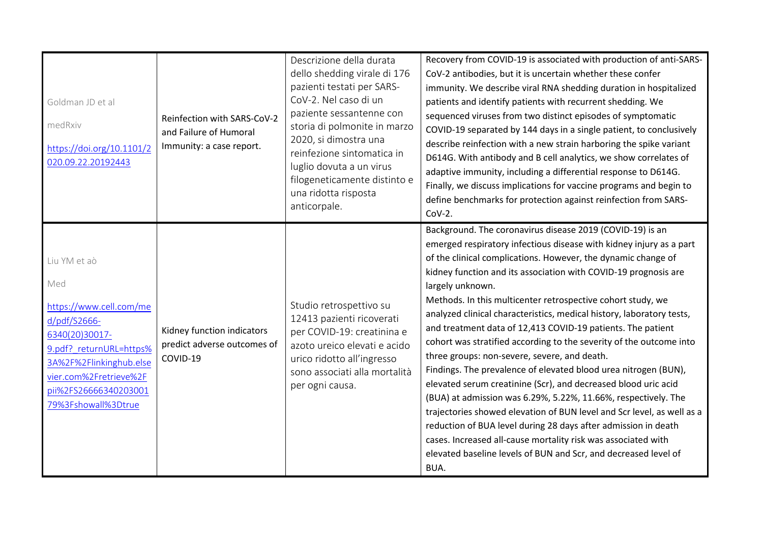| Goldman JD et al<br>medRxiv<br>https://doi.org/10.1101/2<br>020.09.22.20192443                                                                                                                                   | Reinfection with SARS-CoV-2<br>and Failure of Humoral<br>Immunity: a case report. | Descrizione della durata<br>dello shedding virale di 176<br>pazienti testati per SARS-<br>CoV-2. Nel caso di un<br>paziente sessantenne con<br>storia di polmonite in marzo<br>2020, si dimostra una<br>reinfezione sintomatica in<br>luglio dovuta a un virus<br>filogeneticamente distinto e<br>una ridotta risposta<br>anticorpale. | Recovery from COVID-19 is associated with production of anti-SARS-<br>CoV-2 antibodies, but it is uncertain whether these confer<br>immunity. We describe viral RNA shedding duration in hospitalized<br>patients and identify patients with recurrent shedding. We<br>sequenced viruses from two distinct episodes of symptomatic<br>COVID-19 separated by 144 days in a single patient, to conclusively<br>describe reinfection with a new strain harboring the spike variant<br>D614G. With antibody and B cell analytics, we show correlates of<br>adaptive immunity, including a differential response to D614G.<br>Finally, we discuss implications for vaccine programs and begin to<br>define benchmarks for protection against reinfection from SARS-<br>$COV-2.$                                                                                                                                                                                                                                                                                                                                            |
|------------------------------------------------------------------------------------------------------------------------------------------------------------------------------------------------------------------|-----------------------------------------------------------------------------------|----------------------------------------------------------------------------------------------------------------------------------------------------------------------------------------------------------------------------------------------------------------------------------------------------------------------------------------|-----------------------------------------------------------------------------------------------------------------------------------------------------------------------------------------------------------------------------------------------------------------------------------------------------------------------------------------------------------------------------------------------------------------------------------------------------------------------------------------------------------------------------------------------------------------------------------------------------------------------------------------------------------------------------------------------------------------------------------------------------------------------------------------------------------------------------------------------------------------------------------------------------------------------------------------------------------------------------------------------------------------------------------------------------------------------------------------------------------------------|
| Liu YM et aò<br>Med<br>https://www.cell.com/me<br>d/pdf/S2666-<br>6340(20)30017-<br>9.pdf? returnURL=https%<br>3A%2F%2Flinkinghub.else<br>vier.com%2Fretrieve%2F<br>pii%2FS26666340203001<br>79%3Fshowall%3Dtrue | Kidney function indicators<br>predict adverse outcomes of<br>COVID-19             | Studio retrospettivo su<br>12413 pazienti ricoverati<br>per COVID-19: creatinina e<br>azoto ureico elevati e acido<br>urico ridotto all'ingresso<br>sono associati alla mortalità<br>per ogni causa.                                                                                                                                   | Background. The coronavirus disease 2019 (COVID-19) is an<br>emerged respiratory infectious disease with kidney injury as a part<br>of the clinical complications. However, the dynamic change of<br>kidney function and its association with COVID-19 prognosis are<br>largely unknown.<br>Methods. In this multicenter retrospective cohort study, we<br>analyzed clinical characteristics, medical history, laboratory tests,<br>and treatment data of 12,413 COVID-19 patients. The patient<br>cohort was stratified according to the severity of the outcome into<br>three groups: non-severe, severe, and death.<br>Findings. The prevalence of elevated blood urea nitrogen (BUN),<br>elevated serum creatinine (Scr), and decreased blood uric acid<br>(BUA) at admission was 6.29%, 5.22%, 11.66%, respectively. The<br>trajectories showed elevation of BUN level and Scr level, as well as a<br>reduction of BUA level during 28 days after admission in death<br>cases. Increased all-cause mortality risk was associated with<br>elevated baseline levels of BUN and Scr, and decreased level of<br>BUA. |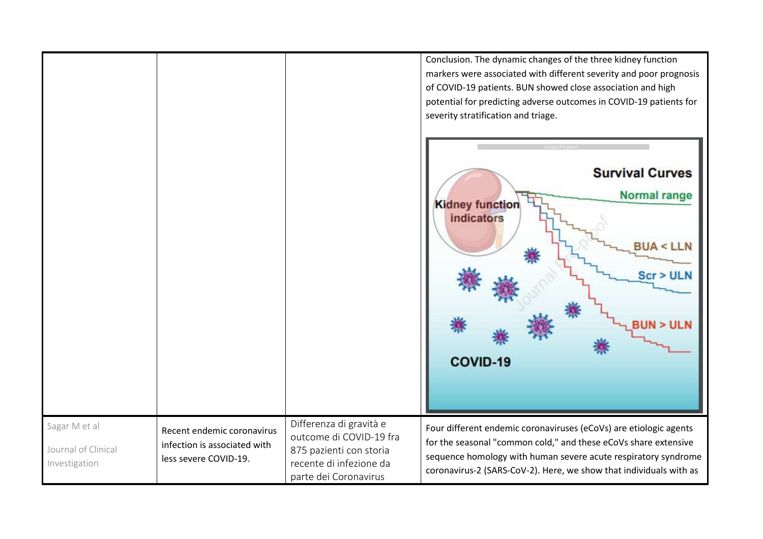|                                                       |                                                                                     |                                                                                                                                   | Conclusion. The dynamic changes of the three kidney function<br>markers were associated with different severity and poor prognosis<br>of COVID-19 patients. BUN showed close association and high<br>potential for predicting adverse outcomes in COVID-19 patients for<br>severity stratification and triage. |
|-------------------------------------------------------|-------------------------------------------------------------------------------------|-----------------------------------------------------------------------------------------------------------------------------------|----------------------------------------------------------------------------------------------------------------------------------------------------------------------------------------------------------------------------------------------------------------------------------------------------------------|
|                                                       |                                                                                     |                                                                                                                                   | <b>Survival Curves</b><br><b>Normal range</b><br><b>Kidney function</b><br>indicators<br><b>BUA &lt; LLN</b><br><b>Scr &gt; ULN</b><br>COVID-19                                                                                                                                                                |
| Sagar M et al<br>Journal of Clinical<br>Investigation | Recent endemic coronavirus<br>infection is associated with<br>less severe COVID-19. | Differenza di gravità e<br>outcome di COVID-19 fra<br>875 pazienti con storia<br>recente di infezione da<br>parte dei Coronavirus | Four different endemic coronaviruses (eCoVs) are etiologic agents<br>for the seasonal "common cold," and these eCoVs share extensive<br>sequence homology with human severe acute respiratory syndrome<br>coronavirus-2 (SARS-CoV-2). Here, we show that individuals with as                                   |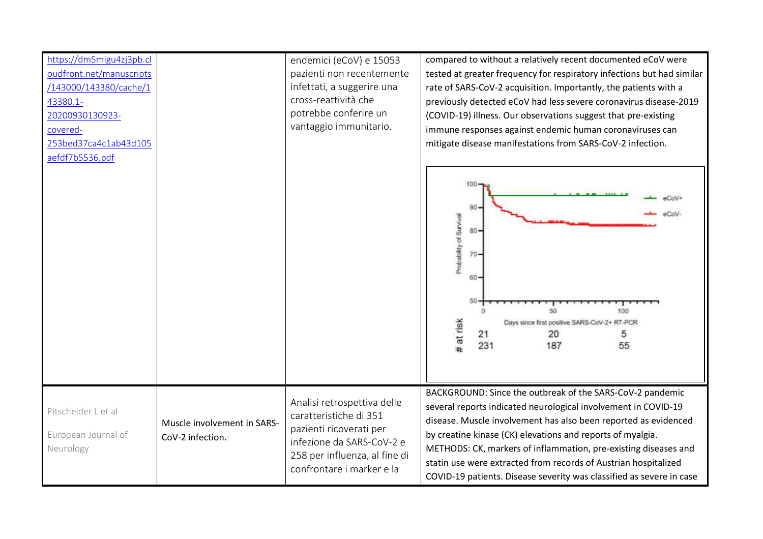| https://dm5migu4zj3pb.cl<br>oudfront.net/manuscripts<br>/143000/143380/cache/1<br>43380.1-<br>20200930130923-<br>covered-<br>253bed37ca4c1ab43d105<br>aefdf7b5536.pdf |                                                 | endemici (eCoV) e 15053<br>pazienti non recentemente<br>infettati, a suggerire una<br>cross-reattività che<br>potrebbe conferire un<br>vantaggio immunitario.               | compared to without a relatively recent documented eCoV were<br>tested at greater frequency for respiratory infections but had similar<br>rate of SARS-CoV-2 acquisition. Importantly, the patients with a<br>previously detected eCoV had less severe coronavirus disease-2019<br>(COVID-19) illness. Our observations suggest that pre-existing<br>immune responses against endemic human coronaviruses can<br>mitigate disease manifestations from SARS-CoV-2 infection.<br>100<br>90<br>eCoV<br>Probability of Survival<br>$80 -$<br>$70 -$<br>$60 -$<br>50<br>50<br>100<br># at risk<br>Days since first positive SARS-CoV-2+ RT-PCR<br>21<br>20<br>5<br>231<br>187<br>55 |
|-----------------------------------------------------------------------------------------------------------------------------------------------------------------------|-------------------------------------------------|-----------------------------------------------------------------------------------------------------------------------------------------------------------------------------|--------------------------------------------------------------------------------------------------------------------------------------------------------------------------------------------------------------------------------------------------------------------------------------------------------------------------------------------------------------------------------------------------------------------------------------------------------------------------------------------------------------------------------------------------------------------------------------------------------------------------------------------------------------------------------|
| Pitscheider L et al<br>European Journal of<br>Neurology                                                                                                               | Muscle involvement in SARS-<br>CoV-2 infection. | Analisi retrospettiva delle<br>caratteristiche di 351<br>pazienti ricoverati per<br>infezione da SARS-CoV-2 e<br>258 per influenza, al fine di<br>confrontare i marker e la | BACKGROUND: Since the outbreak of the SARS-CoV-2 pandemic<br>several reports indicated neurological involvement in COVID-19<br>disease. Muscle involvement has also been reported as evidenced<br>by creatine kinase (CK) elevations and reports of myalgia.<br>METHODS: CK, markers of inflammation, pre-existing diseases and<br>statin use were extracted from records of Austrian hospitalized<br>COVID-19 patients. Disease severity was classified as severe in case                                                                                                                                                                                                     |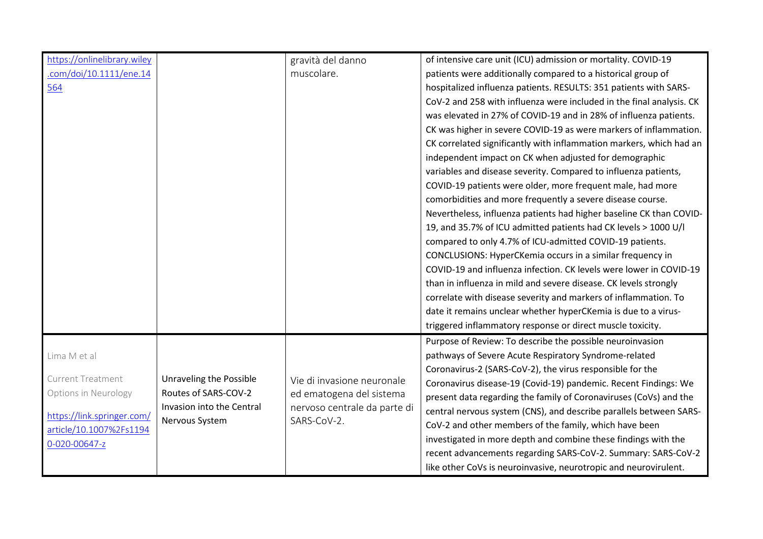| https://onlinelibrary.wiley |                           | gravità del danno                                        | of intensive care unit (ICU) admission or mortality. COVID-19        |
|-----------------------------|---------------------------|----------------------------------------------------------|----------------------------------------------------------------------|
| .com/doi/10.1111/ene.14     |                           | muscolare.                                               | patients were additionally compared to a historical group of         |
| 564                         |                           |                                                          | hospitalized influenza patients. RESULTS: 351 patients with SARS-    |
|                             |                           |                                                          | CoV-2 and 258 with influenza were included in the final analysis. CK |
|                             |                           |                                                          | was elevated in 27% of COVID-19 and in 28% of influenza patients.    |
|                             |                           |                                                          | CK was higher in severe COVID-19 as were markers of inflammation.    |
|                             |                           |                                                          | CK correlated significantly with inflammation markers, which had an  |
|                             |                           |                                                          | independent impact on CK when adjusted for demographic               |
|                             |                           |                                                          | variables and disease severity. Compared to influenza patients,      |
|                             |                           |                                                          | COVID-19 patients were older, more frequent male, had more           |
|                             |                           |                                                          | comorbidities and more frequently a severe disease course.           |
|                             |                           |                                                          | Nevertheless, influenza patients had higher baseline CK than COVID-  |
|                             |                           |                                                          | 19, and 35.7% of ICU admitted patients had CK levels > 1000 U/I      |
|                             |                           |                                                          | compared to only 4.7% of ICU-admitted COVID-19 patients.             |
|                             |                           |                                                          | CONCLUSIONS: HyperCKemia occurs in a similar frequency in            |
|                             |                           |                                                          | COVID-19 and influenza infection. CK levels were lower in COVID-19   |
|                             |                           |                                                          | than in influenza in mild and severe disease. CK levels strongly     |
|                             |                           |                                                          | correlate with disease severity and markers of inflammation. To      |
|                             |                           |                                                          | date it remains unclear whether hyperCKemia is due to a virus-       |
|                             |                           |                                                          | triggered inflammatory response or direct muscle toxicity.           |
|                             |                           |                                                          | Purpose of Review: To describe the possible neuroinvasion            |
| Lima M et al                |                           |                                                          | pathways of Severe Acute Respiratory Syndrome-related                |
| <b>Current Treatment</b>    | Unraveling the Possible   |                                                          | Coronavirus-2 (SARS-CoV-2), the virus responsible for the            |
| Options in Neurology        | Routes of SARS-COV-2      | Vie di invasione neuronale                               | Coronavirus disease-19 (Covid-19) pandemic. Recent Findings: We      |
|                             | Invasion into the Central | ed ematogena del sistema<br>nervoso centrale da parte di | present data regarding the family of Coronaviruses (CoVs) and the    |
| https://link.springer.com/  | Nervous System            | SARS-CoV-2.                                              | central nervous system (CNS), and describe parallels between SARS-   |
| article/10.1007%2Fs1194     |                           |                                                          | CoV-2 and other members of the family, which have been               |
| 0-020-00647-z               |                           |                                                          | investigated in more depth and combine these findings with the       |
|                             |                           |                                                          | recent advancements regarding SARS-CoV-2. Summary: SARS-CoV-2        |
|                             |                           |                                                          | like other CoVs is neuroinvasive, neurotropic and neurovirulent.     |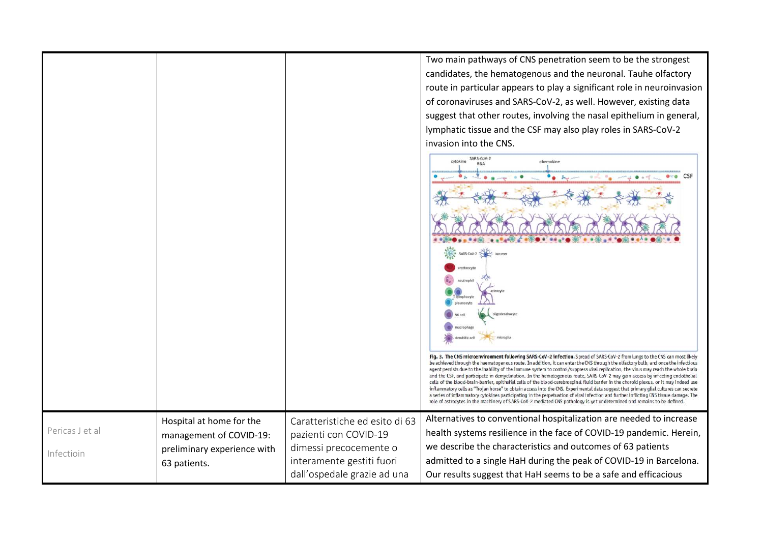Two main pathways of CNS penetration seem to be the strongest candidates, the hematogenous and the neuronal. Tauhe olfactory route in particular appears to play a significant role in neuroinvasion of coronaviruses and SARS-CoV-2, as well. However, existing data suggest that other routes, involving the nasal epithelium in general, lymphatic tissue and the CSF may also play roles in SARS-CoV-2 invasion into the CNS. SARS-CoV-2  $nabba$ who was a blue **PNA**  $e^{-e}$  CSF  $\sim$  8 ma o and . ه Fig. 3. The CNS microenvironment following SARS-CoV-2 infection. Spread of SARS-CoV-2 from lungs to the CNS can most likely be achieved through the haematogenous route. In addition, it can enter the CNS through the olfactory bulb, and once the infectious agent persists due to the inability of the immune system to control/suppress viral replication, the virus may reach the whole brain and the CSF, and participate in demyelination. In the hematogenous route, SARS-CoV-2 may gain access by infecting endothelial cells of the blood-brain-barrier, epithelial cells of the blood-cerebrospinal fluid barrier in the choroid plexus, or it may indeed use

> Alternatives to conventional hospitalization are needed to increase health systems resilience in the face of COVID-19 pandemic. Herein,

> inflammatory cells as "Trojan horse" to obtain access into the CNS. Experimental data suggest that primary glial cultures can secrete a series of inflammatory cytokines participating in the perpetuation of viral infection and further inflicting CNS tissue damage. The role of astrocytes in the machinery of SARS-CoV-2 mediated CNS pathology is yet undetermined and remains to be defined.

admitted to a single HaH during the peak of COVID-19 in Barcelona. Our results suggest that HaH seems to be a safe and efficacious

we describe the characteristics and outcomes of 63 patients

Caratteristiche ed esito di 63

pazienti con COVID-19 dimessi precocemente o interamente gestiti fuori dall'ospedale grazie ad una

Pericas J et al

Hospital at home for the management of COVID-19: preliminary experience with

63 patients.

Infectioin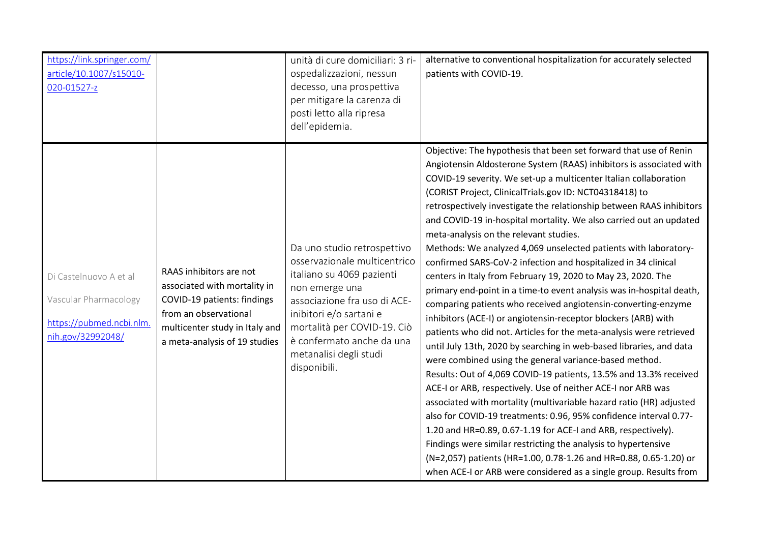| https://link.springer.com/<br>article/10.1007/s15010-<br>020-01527-z                             |                                                                                                                                                                                    | unità di cure domiciliari: 3 ri-<br>ospedalizzazioni, nessun<br>decesso, una prospettiva<br>per mitigare la carenza di<br>posti letto alla ripresa<br>dell'epidemia.                                                                                                        | alternative to conventional hospitalization for accurately selected<br>patients with COVID-19.                                                                                                                                                                                                                                                                                                                                                                                                                                                                                                                                                                                                                                                                                                                                                                                                                                                                                                                                                                                                                                                                                                                                                                                                                                                                                                                                                                                                                                                                                                                                                        |
|--------------------------------------------------------------------------------------------------|------------------------------------------------------------------------------------------------------------------------------------------------------------------------------------|-----------------------------------------------------------------------------------------------------------------------------------------------------------------------------------------------------------------------------------------------------------------------------|-------------------------------------------------------------------------------------------------------------------------------------------------------------------------------------------------------------------------------------------------------------------------------------------------------------------------------------------------------------------------------------------------------------------------------------------------------------------------------------------------------------------------------------------------------------------------------------------------------------------------------------------------------------------------------------------------------------------------------------------------------------------------------------------------------------------------------------------------------------------------------------------------------------------------------------------------------------------------------------------------------------------------------------------------------------------------------------------------------------------------------------------------------------------------------------------------------------------------------------------------------------------------------------------------------------------------------------------------------------------------------------------------------------------------------------------------------------------------------------------------------------------------------------------------------------------------------------------------------------------------------------------------------|
| Di Castelnuovo A et al<br>Vascular Pharmacology<br>https://pubmed.ncbi.nlm.<br>nih.gov/32992048/ | RAAS inhibitors are not<br>associated with mortality in<br>COVID-19 patients: findings<br>from an observational<br>multicenter study in Italy and<br>a meta-analysis of 19 studies | Da uno studio retrospettivo<br>osservazionale multicentrico<br>italiano su 4069 pazienti<br>non emerge una<br>associazione fra uso di ACE-<br>inibitori e/o sartani e<br>mortalità per COVID-19. Ciò<br>è confermato anche da una<br>metanalisi degli studi<br>disponibili. | Objective: The hypothesis that been set forward that use of Renin<br>Angiotensin Aldosterone System (RAAS) inhibitors is associated with<br>COVID-19 severity. We set-up a multicenter Italian collaboration<br>(CORIST Project, ClinicalTrials.gov ID: NCT04318418) to<br>retrospectively investigate the relationship between RAAS inhibitors<br>and COVID-19 in-hospital mortality. We also carried out an updated<br>meta-analysis on the relevant studies.<br>Methods: We analyzed 4,069 unselected patients with laboratory-<br>confirmed SARS-CoV-2 infection and hospitalized in 34 clinical<br>centers in Italy from February 19, 2020 to May 23, 2020. The<br>primary end-point in a time-to event analysis was in-hospital death,<br>comparing patients who received angiotensin-converting-enzyme<br>inhibitors (ACE-I) or angiotensin-receptor blockers (ARB) with<br>patients who did not. Articles for the meta-analysis were retrieved<br>until July 13th, 2020 by searching in web-based libraries, and data<br>were combined using the general variance-based method.<br>Results: Out of 4,069 COVID-19 patients, 13.5% and 13.3% received<br>ACE-I or ARB, respectively. Use of neither ACE-I nor ARB was<br>associated with mortality (multivariable hazard ratio (HR) adjusted<br>also for COVID-19 treatments: 0.96, 95% confidence interval 0.77-<br>1.20 and HR=0.89, 0.67-1.19 for ACE-I and ARB, respectively).<br>Findings were similar restricting the analysis to hypertensive<br>(N=2,057) patients (HR=1.00, 0.78-1.26 and HR=0.88, 0.65-1.20) or<br>when ACE-I or ARB were considered as a single group. Results from |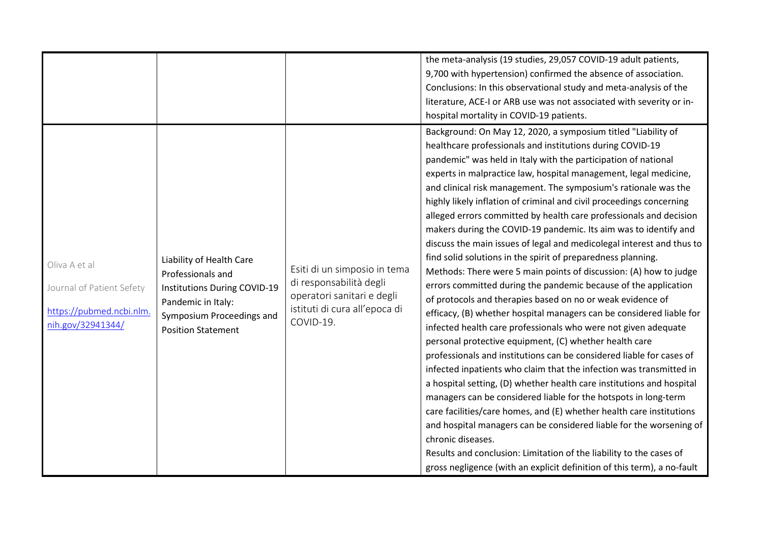|                                                                                             |                                                                                                                                                               |                                                                                                                                     | the meta-analysis (19 studies, 29,057 COVID-19 adult patients,<br>9,700 with hypertension) confirmed the absence of association.<br>Conclusions: In this observational study and meta-analysis of the<br>literature, ACE-I or ARB use was not associated with severity or in-<br>hospital mortality in COVID-19 patients.<br>Background: On May 12, 2020, a symposium titled "Liability of<br>healthcare professionals and institutions during COVID-19                                                                                                                                                                                                                                                                                                                                                                                                                                                                                                                                                                                                                                                                                                                                                                                                                                                                                                                                                                                                                                                                                                                                     |
|---------------------------------------------------------------------------------------------|---------------------------------------------------------------------------------------------------------------------------------------------------------------|-------------------------------------------------------------------------------------------------------------------------------------|---------------------------------------------------------------------------------------------------------------------------------------------------------------------------------------------------------------------------------------------------------------------------------------------------------------------------------------------------------------------------------------------------------------------------------------------------------------------------------------------------------------------------------------------------------------------------------------------------------------------------------------------------------------------------------------------------------------------------------------------------------------------------------------------------------------------------------------------------------------------------------------------------------------------------------------------------------------------------------------------------------------------------------------------------------------------------------------------------------------------------------------------------------------------------------------------------------------------------------------------------------------------------------------------------------------------------------------------------------------------------------------------------------------------------------------------------------------------------------------------------------------------------------------------------------------------------------------------|
| Oliva A et al<br>Journal of Patient Sefety<br>https://pubmed.ncbi.nlm.<br>nih.gov/32941344/ | Liability of Health Care<br>Professionals and<br>Institutions During COVID-19<br>Pandemic in Italy:<br>Symposium Proceedings and<br><b>Position Statement</b> | Esiti di un simposio in tema<br>di responsabilità degli<br>operatori sanitari e degli<br>istituti di cura all'epoca di<br>COVID-19. | pandemic" was held in Italy with the participation of national<br>experts in malpractice law, hospital management, legal medicine,<br>and clinical risk management. The symposium's rationale was the<br>highly likely inflation of criminal and civil proceedings concerning<br>alleged errors committed by health care professionals and decision<br>makers during the COVID-19 pandemic. Its aim was to identify and<br>discuss the main issues of legal and medicolegal interest and thus to<br>find solid solutions in the spirit of preparedness planning.<br>Methods: There were 5 main points of discussion: (A) how to judge<br>errors committed during the pandemic because of the application<br>of protocols and therapies based on no or weak evidence of<br>efficacy, (B) whether hospital managers can be considered liable for<br>infected health care professionals who were not given adequate<br>personal protective equipment, (C) whether health care<br>professionals and institutions can be considered liable for cases of<br>infected inpatients who claim that the infection was transmitted in<br>a hospital setting, (D) whether health care institutions and hospital<br>managers can be considered liable for the hotspots in long-term<br>care facilities/care homes, and (E) whether health care institutions<br>and hospital managers can be considered liable for the worsening of<br>chronic diseases.<br>Results and conclusion: Limitation of the liability to the cases of<br>gross negligence (with an explicit definition of this term), a no-fault |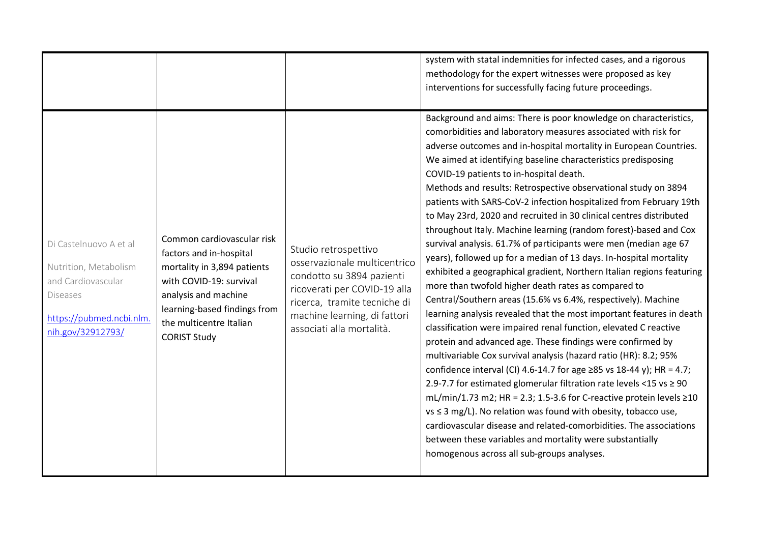|                                                                                                                                           |                                                                                                                                                                                                                           |                                                                                                                                                                                                                | system with statal indemnities for infected cases, and a rigorous<br>methodology for the expert witnesses were proposed as key<br>interventions for successfully facing future proceedings.<br>Background and aims: There is poor knowledge on characteristics,                                                                                                                                                                                                                                                                                                                                                                                                                                                                                                                                                                                                                                                                                                                                                                                                                                                                                                                                                                                                                                                                                                                                                                                                                                                                                                                                                                               |
|-------------------------------------------------------------------------------------------------------------------------------------------|---------------------------------------------------------------------------------------------------------------------------------------------------------------------------------------------------------------------------|----------------------------------------------------------------------------------------------------------------------------------------------------------------------------------------------------------------|-----------------------------------------------------------------------------------------------------------------------------------------------------------------------------------------------------------------------------------------------------------------------------------------------------------------------------------------------------------------------------------------------------------------------------------------------------------------------------------------------------------------------------------------------------------------------------------------------------------------------------------------------------------------------------------------------------------------------------------------------------------------------------------------------------------------------------------------------------------------------------------------------------------------------------------------------------------------------------------------------------------------------------------------------------------------------------------------------------------------------------------------------------------------------------------------------------------------------------------------------------------------------------------------------------------------------------------------------------------------------------------------------------------------------------------------------------------------------------------------------------------------------------------------------------------------------------------------------------------------------------------------------|
| Di Castelnuovo A et al<br>Nutrition, Metabolism<br>and Cardiovascular<br><b>Diseases</b><br>https://pubmed.ncbi.nlm.<br>nih.gov/32912793/ | Common cardiovascular risk<br>factors and in-hospital<br>mortality in 3,894 patients<br>with COVID-19: survival<br>analysis and machine<br>learning-based findings from<br>the multicentre Italian<br><b>CORIST Study</b> | Studio retrospettivo<br>osservazionale multicentrico<br>condotto su 3894 pazienti<br>ricoverati per COVID-19 alla<br>ricerca, tramite tecniche di<br>machine learning, di fattori<br>associati alla mortalità. | comorbidities and laboratory measures associated with risk for<br>adverse outcomes and in-hospital mortality in European Countries.<br>We aimed at identifying baseline characteristics predisposing<br>COVID-19 patients to in-hospital death.<br>Methods and results: Retrospective observational study on 3894<br>patients with SARS-CoV-2 infection hospitalized from February 19th<br>to May 23rd, 2020 and recruited in 30 clinical centres distributed<br>throughout Italy. Machine learning (random forest)-based and Cox<br>survival analysis. 61.7% of participants were men (median age 67<br>years), followed up for a median of 13 days. In-hospital mortality<br>exhibited a geographical gradient, Northern Italian regions featuring<br>more than twofold higher death rates as compared to<br>Central/Southern areas (15.6% vs 6.4%, respectively). Machine<br>learning analysis revealed that the most important features in death<br>classification were impaired renal function, elevated C reactive<br>protein and advanced age. These findings were confirmed by<br>multivariable Cox survival analysis (hazard ratio (HR): 8.2; 95%<br>confidence interval (CI) 4.6-14.7 for age ≥85 vs 18-44 y); HR = 4.7;<br>2.9-7.7 for estimated glomerular filtration rate levels <15 vs ≥ 90<br>mL/min/1.73 m2; HR = 2.3; 1.5-3.6 for C-reactive protein levels $\geq$ 10<br>$vs \leq 3$ mg/L). No relation was found with obesity, tobacco use,<br>cardiovascular disease and related-comorbidities. The associations<br>between these variables and mortality were substantially<br>homogenous across all sub-groups analyses. |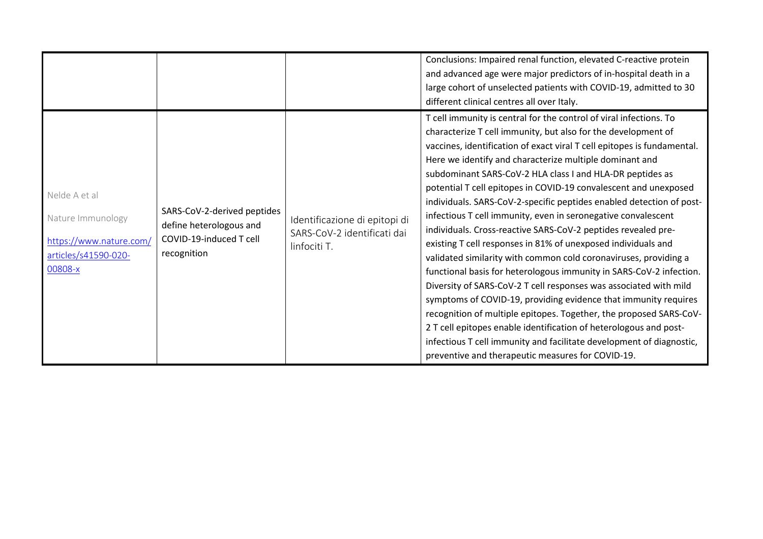|                                                                                                  |                                                                                                  |                                                                              | Conclusions: Impaired renal function, elevated C-reactive protein<br>and advanced age were major predictors of in-hospital death in a<br>large cohort of unselected patients with COVID-19, admitted to 30<br>different clinical centres all over Italy.<br>T cell immunity is central for the control of viral infections. To<br>characterize T cell immunity, but also for the development of<br>vaccines, identification of exact viral T cell epitopes is fundamental.<br>Here we identify and characterize multiple dominant and                                                                                                                                                                                                                                                                                                                                                                                                                               |
|--------------------------------------------------------------------------------------------------|--------------------------------------------------------------------------------------------------|------------------------------------------------------------------------------|---------------------------------------------------------------------------------------------------------------------------------------------------------------------------------------------------------------------------------------------------------------------------------------------------------------------------------------------------------------------------------------------------------------------------------------------------------------------------------------------------------------------------------------------------------------------------------------------------------------------------------------------------------------------------------------------------------------------------------------------------------------------------------------------------------------------------------------------------------------------------------------------------------------------------------------------------------------------|
| Nelde A et al<br>Nature Immunology<br>https://www.nature.com/<br>articles/s41590-020-<br>00808-x | SARS-CoV-2-derived peptides<br>define heterologous and<br>COVID-19-induced T cell<br>recognition | Identificazione di epitopi di<br>SARS-CoV-2 identificati dai<br>linfociti T. | subdominant SARS-CoV-2 HLA class I and HLA-DR peptides as<br>potential T cell epitopes in COVID-19 convalescent and unexposed<br>individuals. SARS-CoV-2-specific peptides enabled detection of post-<br>infectious T cell immunity, even in seronegative convalescent<br>individuals. Cross-reactive SARS-CoV-2 peptides revealed pre-<br>existing T cell responses in 81% of unexposed individuals and<br>validated similarity with common cold coronaviruses, providing a<br>functional basis for heterologous immunity in SARS-CoV-2 infection.<br>Diversity of SARS-CoV-2 T cell responses was associated with mild<br>symptoms of COVID-19, providing evidence that immunity requires<br>recognition of multiple epitopes. Together, the proposed SARS-CoV-<br>2 T cell epitopes enable identification of heterologous and post-<br>infectious T cell immunity and facilitate development of diagnostic,<br>preventive and therapeutic measures for COVID-19. |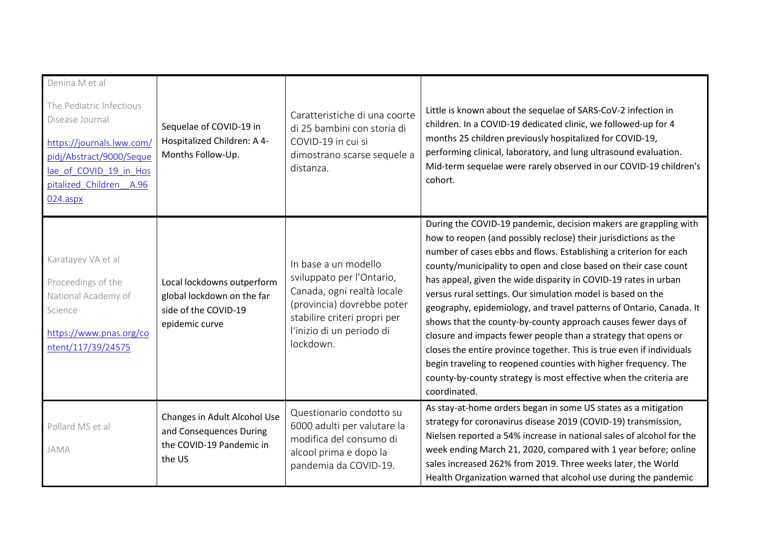| Denina M et al<br>The Pediatric Infectious<br>Disease Journal<br>https://journals.lww.com/<br>pidj/Abstract/9000/Seque<br>lae of COVID 19 in Hos<br>pitalized Children A.96<br>024.aspx | Sequelae of COVID-19 in<br>Hospitalized Children: A 4-<br>Months Follow-Up.                        | Caratteristiche di una coorte<br>di 25 bambini con storia di<br>COVID-19 in cui si<br>dimostrano scarse sequele a<br>distanza.                                                          | Little is known about the sequelae of SARS-CoV-2 infection in<br>children. In a COVID-19 dedicated clinic, we followed-up for 4<br>months 25 children previously hospitalized for COVID-19,<br>performing clinical, laboratory, and lung ultrasound evaluation.<br>Mid-term sequelae were rarely observed in our COVID-19 children's<br>cohort.                                                                                                                                                                                                                                                                                                                                                                                                                                                                                                          |
|-----------------------------------------------------------------------------------------------------------------------------------------------------------------------------------------|----------------------------------------------------------------------------------------------------|-----------------------------------------------------------------------------------------------------------------------------------------------------------------------------------------|----------------------------------------------------------------------------------------------------------------------------------------------------------------------------------------------------------------------------------------------------------------------------------------------------------------------------------------------------------------------------------------------------------------------------------------------------------------------------------------------------------------------------------------------------------------------------------------------------------------------------------------------------------------------------------------------------------------------------------------------------------------------------------------------------------------------------------------------------------|
| Karatayev VA et al<br>Proceedings of the<br>National Academy of<br>Science<br>https://www.pnas.org/co<br>ntent/117/39/24575                                                             | Local lockdowns outperform<br>global lockdown on the far<br>side of the COVID-19<br>epidemic curve | In base a un modello<br>sviluppato per l'Ontario,<br>Canada, ogni realtà locale<br>(provincia) dovrebbe poter<br>stabilire criteri propri per<br>l'inizio di un periodo di<br>lockdown. | During the COVID-19 pandemic, decision makers are grappling with<br>how to reopen (and possibly reclose) their jurisdictions as the<br>number of cases ebbs and flows. Establishing a criterion for each<br>county/municipality to open and close based on their case count<br>has appeal, given the wide disparity in COVID-19 rates in urban<br>versus rural settings. Our simulation model is based on the<br>geography, epidemiology, and travel patterns of Ontario, Canada. It<br>shows that the county-by-county approach causes fewer days of<br>closure and impacts fewer people than a strategy that opens or<br>closes the entire province together. This is true even if individuals<br>begin traveling to reopened counties with higher frequency. The<br>county-by-county strategy is most effective when the criteria are<br>coordinated. |
| Pollard MS et al<br>JAMA                                                                                                                                                                | Changes in Adult Alcohol Use<br>and Consequences During<br>the COVID-19 Pandemic in<br>the US      | Questionario condotto su<br>6000 adulti per valutare la<br>modifica del consumo di<br>alcool prima e dopo la<br>pandemia da COVID-19.                                                   | As stay-at-home orders began in some US states as a mitigation<br>strategy for coronavirus disease 2019 (COVID-19) transmission,<br>Nielsen reported a 54% increase in national sales of alcohol for the<br>week ending March 21, 2020, compared with 1 year before; online<br>sales increased 262% from 2019. Three weeks later, the World<br>Health Organization warned that alcohol use during the pandemic                                                                                                                                                                                                                                                                                                                                                                                                                                           |